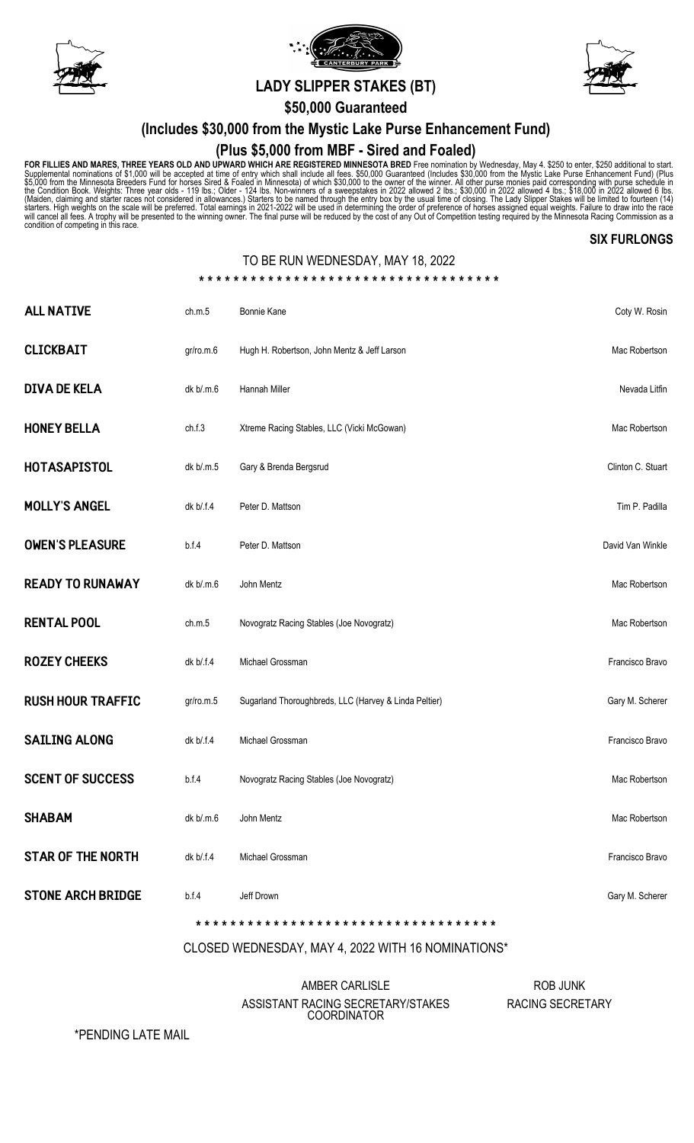





# A **LADY SLIPPER STAKES (BT)**

**\$50,000 Guaranteed**

### **(Includes \$30,000 from the Mystic Lake Purse Enhancement Fund)**

### **(Plus \$5,000 from MBF - Sired and Foaled)**

FOR FILLIES AND MARES, THREE YEARS OLD AND UPWARD WHICH ARE REGISTERED MINNESOTA BRED Free nomination by Wednesday, May 4. \$250 to enter, \$250 additional to start.<br>Supplemental nominations of \$1,000 will be accepted at tim

#### **SIX FURLONGS**

### TO BE RUN WEDNESDAY, MAY 18, 2022

**\* \* \* \* \* \* \* \* \* \* \* \* \* \* \* \* \* \* \* \* \* \* \* \* \* \* \* \* \* \* \* \* \* \* \***

| <b>ALL NATIVE</b>        | ch.m.5    | Bonnie Kane                                           | Coty W. Rosin     |
|--------------------------|-----------|-------------------------------------------------------|-------------------|
| <b>CLICKBAIT</b>         | gr/ro.m.6 | Hugh H. Robertson, John Mentz & Jeff Larson           | Mac Robertson     |
| <b>DIVA DE KELA</b>      | dk b/.m.6 | Hannah Miller                                         | Nevada Litfin     |
| <b>HONEY BELLA</b>       | ch.f.3    | Xtreme Racing Stables, LLC (Vicki McGowan)            | Mac Robertson     |
| <b>HOTASAPISTOL</b>      | dk b/.m.5 | Gary & Brenda Bergsrud                                | Clinton C. Stuart |
| <b>MOLLY'S ANGEL</b>     | dk b/.f.4 | Peter D. Mattson                                      | Tim P. Padilla    |
| <b>OWEN'S PLEASURE</b>   | b.f.4     | Peter D. Mattson                                      | David Van Winkle  |
| <b>READY TO RUNAWAY</b>  | dk b/.m.6 | John Mentz                                            | Mac Robertson     |
| <b>RENTAL POOL</b>       | ch.m.5    | Novogratz Racing Stables (Joe Novogratz)              | Mac Robertson     |
| <b>ROZEY CHEEKS</b>      | dk b/.f.4 | Michael Grossman                                      | Francisco Bravo   |
| <b>RUSH HOUR TRAFFIC</b> | gr/ro.m.5 | Sugarland Thoroughbreds, LLC (Harvey & Linda Peltier) | Gary M. Scherer   |
| <b>SAILING ALONG</b>     | dk b/.f.4 | Michael Grossman                                      | Francisco Bravo   |
| <b>SCENT OF SUCCESS</b>  | b.f.4     | Novogratz Racing Stables (Joe Novogratz)              | Mac Robertson     |
| <b>SHABAM</b>            | dk b/.m.6 | John Mentz                                            | Mac Robertson     |
| <b>STAR OF THE NORTH</b> | dk b/.f.4 | Michael Grossman                                      | Francisco Bravo   |
| <b>STONE ARCH BRIDGE</b> | b.f.4     | Jeff Drown                                            | Gary M. Scherer   |
|                          |           |                                                       |                   |

#### CLOSED WEDNESDAY, MAY 4, 2022 WITH 16 NOMINATIONS\*

AMBER CARLISLE ASSISTANT RACING SECRETARY/STAKES COORDINATOR

ROB JUNK RACING SECRETARY

\*PENDING LATE MAIL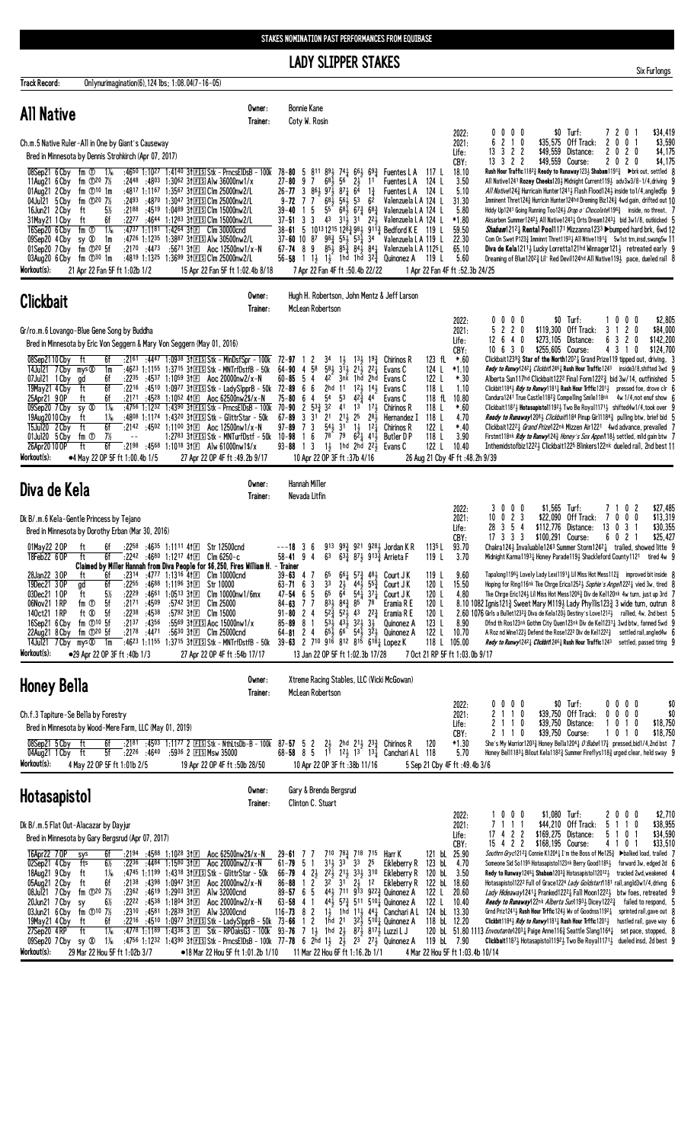## **LADY SLIPPER STAKES**

| <b>Track Record:</b><br>Onlynurimagination(6), 124 lbs; 1:08.04(7-16-05)                                                                                                                                                                                                                                                                                                                                                                                                                                                                                                                                                                                                                                                                                                                                                                                                                                                                                                                                                                                                                                                                                                                                                      |                                                                                              |                                                                                                                                                                                                                                                                                                                                                                                                                          |                                                                                                                                                                                                                                                                                                                                                                                                                                                  |                                                                                                                                                                                                                                                                                                                                       |                                                                                                                             |                                                                                                                                                                                                                                                                                                                                                                                                                                                                                                                                                                                                                                                                                                                                                                                                                                                                                                                                                                                                                                                                                   |                                                                                             |                                                                                                                                                                                                      |
|-------------------------------------------------------------------------------------------------------------------------------------------------------------------------------------------------------------------------------------------------------------------------------------------------------------------------------------------------------------------------------------------------------------------------------------------------------------------------------------------------------------------------------------------------------------------------------------------------------------------------------------------------------------------------------------------------------------------------------------------------------------------------------------------------------------------------------------------------------------------------------------------------------------------------------------------------------------------------------------------------------------------------------------------------------------------------------------------------------------------------------------------------------------------------------------------------------------------------------|----------------------------------------------------------------------------------------------|--------------------------------------------------------------------------------------------------------------------------------------------------------------------------------------------------------------------------------------------------------------------------------------------------------------------------------------------------------------------------------------------------------------------------|--------------------------------------------------------------------------------------------------------------------------------------------------------------------------------------------------------------------------------------------------------------------------------------------------------------------------------------------------------------------------------------------------------------------------------------------------|---------------------------------------------------------------------------------------------------------------------------------------------------------------------------------------------------------------------------------------------------------------------------------------------------------------------------------------|-----------------------------------------------------------------------------------------------------------------------------|-----------------------------------------------------------------------------------------------------------------------------------------------------------------------------------------------------------------------------------------------------------------------------------------------------------------------------------------------------------------------------------------------------------------------------------------------------------------------------------------------------------------------------------------------------------------------------------------------------------------------------------------------------------------------------------------------------------------------------------------------------------------------------------------------------------------------------------------------------------------------------------------------------------------------------------------------------------------------------------------------------------------------------------------------------------------------------------|---------------------------------------------------------------------------------------------|------------------------------------------------------------------------------------------------------------------------------------------------------------------------------------------------------|
| <b>All Native</b>                                                                                                                                                                                                                                                                                                                                                                                                                                                                                                                                                                                                                                                                                                                                                                                                                                                                                                                                                                                                                                                                                                                                                                                                             | Owner:<br>Trainer:                                                                           | <b>Bonnie Kane</b><br>Coty W. Rosin                                                                                                                                                                                                                                                                                                                                                                                      |                                                                                                                                                                                                                                                                                                                                                                                                                                                  |                                                                                                                                                                                                                                                                                                                                       |                                                                                                                             |                                                                                                                                                                                                                                                                                                                                                                                                                                                                                                                                                                                                                                                                                                                                                                                                                                                                                                                                                                                                                                                                                   |                                                                                             |                                                                                                                                                                                                      |
| Ch.m.5 Native Ruler-All in One by Giant's Causeway<br>Bred in Minnesota by Dennis Strohkirch (Apr 07, 2017)                                                                                                                                                                                                                                                                                                                                                                                                                                                                                                                                                                                                                                                                                                                                                                                                                                                                                                                                                                                                                                                                                                                   |                                                                                              |                                                                                                                                                                                                                                                                                                                                                                                                                          |                                                                                                                                                                                                                                                                                                                                                                                                                                                  |                                                                                                                                                                                                                                                                                                                                       | 2022:<br>2021:<br>Life:<br>CBY:                                                                                             | $0\ 0\ 0\ 0$<br>6<br>2 1 0<br>13 3 2 2<br>13 3 2 2                                                                                                                                                                                                                                                                                                                                                                                                                                                                                                                                                                                                                                                                                                                                                                                                                                                                                                                                                                                                                                | $$0$ Turf:<br>\$35.575 Off Track:<br>$\mathbf{2}$<br>\$49,559 Distance:<br>\$49,559 Course: | \$34,419<br>7201<br>\$3,590<br>0 <sub>1</sub><br>0<br>2 0 2 0<br>\$4,175<br>2 0 2 0<br>\$4,175                                                                                                       |
| :4650 1:1027 1:4140 31 E S Stk - Prncs E IDs B - 100k 78-80 5<br>08Sep21 6 Cby fm ① 1%<br>11Aug21 6 Cby fm 120 7%<br>:2448 :4803 1:3062 31 ES Alw 36000 nw1/x<br>01Aug21 2 Cby fm 10 10 1m<br>:4817 1:1167 1:3567 31ES Clm 25000nw2/L<br>04Jul21 5 Cby<br>fm ① <sup>20</sup> 7½<br>$:2493$ $:4870$ $1:3047$ 31 FIS Clm 25000nw2/L<br>$5\%$<br>:2188 :4519 1:0489 31 FS Clm 15000nw2/L<br>16Jun21 2 Cby<br>ft<br>6f<br>:2277 :4644 1:1283 31ES Clm 15000nw2/L<br>31May21 1 Cby<br>ft<br>fm ①<br>$1\%$<br>:4737 1:1181 1:4264 31 $E$ Clm 30000cnd<br>16Sep20 6 Cby<br>:4726 1:1235 1:3887 31 ES Alw 30500nw2/L<br>09Sep20 4 Cby<br>sy Ø<br>1m<br>01Sep20 7 Cby fm 120 5f<br>:2170 :4473<br>03Aug20 6 Cby fm 130 1m<br>:4819 1:1325 1:3699 31ES Clm 25000nw2/L<br>Workout(s):<br>21 Apr 22 Fan 5F ft 1:02b 1/2                                                                                                                                                                                                                                                                                                                                                                                                                   | :5671 31E Aoc 12500nw1/x-N<br>15 Apr 22 Fan 5F ft 1:02.4b 8/18                               | 811 891 741 661 693<br>$27 - 80$<br>$68\frac{1}{2}$ 56<br>97<br>26-77 3 $86\frac{1}{2}$ $97\frac{1}{2}$ $87\frac{1}{4}$ $6\frac{1}{4}$<br>$9 - 72$ 7 7<br>15<br>55<br>$39 - 40$<br>$37 - 51$ 3 3<br>38-61 5 1013 1215 12 $\frac{52}{4}$ 98 $\frac{1}{2}$ 91 $\frac{12}{4}$ Bedford K E 119 L<br>$37 - 60$ 10 87 $98\frac{3}{4}$ 55 $\frac{1}{2}$ 53 $\frac{1}{4}$ 34<br>$67 - 74$ 8 9<br>7 Apr 22 Fan 4F ft :50.4b 22/22 | $2\frac{1}{2}$ 11<br>$1\frac{3}{4}$<br>$68\frac{1}{2}$ 56 $\frac{1}{2}$ 53 6 <sup>2</sup><br>$68\overline{3}$ $67\overline{3}$ $68\overline{3}$                                                                                                                                                                                                                                                                                                  | Fuentes L A 117 L<br>Fuentes L A 124 L<br>Fuentes L A 124 L<br>Valenzuela L A 124 L<br>Valenzuela L A 124 L<br>43 $3^{1\overline{3}}$ 31 $2^{2\overline{3}}$ Valenzuela L A 124 L<br>Valenzuela L A 119 L<br>$85\frac{1}{2}$ $85\frac{3}{8}$ $84\frac{1}{2}$ $84\frac{1}{4}$ Valenzuela L A 1125 L<br>1 Apr 22 Fan 4F ft :52.3b 24/25 | 18.10<br>3.50<br>5.10<br>31.30<br>5.80<br>$*1.80$<br>59.50<br>22.30<br>65.10<br>5.60                                        | Rush Hour Traffic 1182 <sub>3</sub> Ready to Runaway 123 <sub>2</sub> Shabam 1191 <sub>3</sub> $\blacktriangleright$ brk out, settled 8<br>All Native1241 Rozey Cheeks1201 Midnight Current1191 adv3w3/8-1/4, driving 9<br>All Native1243 Hurricain Hunter12413 Flash Flood1243 inside to1/4, angled5p 9<br>Imminent Thret1243 Hurricin Hunter124hd Dreming Biz1243 4wd gain, drifted out 10<br>Hddy Up1241 Going Running Too1243 Drop o' Chocolate11963 inside, no threat, 7<br>Aksarben Summer12423 All Native12431 Orts Dream12433 bid 3w1/8, outkicked 5<br><i>Shabam</i> 1212 <sub>4</sub> Rental Pool1171 Mizzanna 1233 Dbumped hard brk, 6wd 12<br>Com On Swet P1233 Imminnt Thret11931 All Ntive11913 5w1st trn, insd, swung5w 11<br><b>Diva de Kela</b> 121 <sup>1</sup> Lucky Lorretta 121hd Winnager 121 $\frac{1}{2}$ retreated early 9<br>Dreaming of Blue120 <sup>2</sup> $_{4}^{2}$ Lil' Red Devil124hd All Native119 $_{2}^{1}$ pace, dueled rail 8                                                                                                               |                                                                                             |                                                                                                                                                                                                      |
| <b>Clickbait</b>                                                                                                                                                                                                                                                                                                                                                                                                                                                                                                                                                                                                                                                                                                                                                                                                                                                                                                                                                                                                                                                                                                                                                                                                              | Owner:<br>Trainer:                                                                           | Hugh H. Robertson, John Mentz & Jeff Larson<br>McLean Robertson                                                                                                                                                                                                                                                                                                                                                          |                                                                                                                                                                                                                                                                                                                                                                                                                                                  |                                                                                                                                                                                                                                                                                                                                       |                                                                                                                             |                                                                                                                                                                                                                                                                                                                                                                                                                                                                                                                                                                                                                                                                                                                                                                                                                                                                                                                                                                                                                                                                                   |                                                                                             |                                                                                                                                                                                                      |
| Gr/ro.m.6 Lovango-Blue Gene Song by Buddha<br>Bred in Minnesota by Eric Von Seggern & Mary Von Seggern (May 01, 2016)<br>08Sep2110 Cby<br>6f<br>$:21^{61}$ $:44^{47}$ 1:0938 31 EIS Stk - MinDsfSpr - 100k 72-97<br>ft<br>:4623 1:1155 1:3715 31 EIS Stk - MNTrfDstfB - 50k<br>14Jul21 7 Cby mys <sup>®</sup><br>1m<br>6f<br>:2235 :4537 1:1059 31 $E$ Aoc 20000nw2/x-N<br>07Jul21 1 Cby<br>gd<br>6f<br>ft<br>:2216 :4510 1:0977 31 ES Stk - Lady SlpprB - 50k<br>19May21 4 Cby<br>6f<br>:2171 :4528 1:1052 41 E Aoc 62500nw2\$/x-N<br>25Apr21 9 OP<br>ft<br>$1\%$<br>sy $\otimes$<br>09Sep20 7 Cby<br>:4756 1:1232 1:4390 31 FS Stk - PrncsEIDsB - 100k<br>19Aug2010 Cby<br>$1\%$<br>ft<br>:4808 1:1174 1:4320 31 ES Stk - GlittrStar - 50k<br>6f<br>:2142 :4502 1:1100 31 Aoc 12500nw1/x-N<br>15Jul20 2 Cby<br>ft<br>7½<br>01Jul20 5 Cby<br>fm ①<br>26Apr20 10 OP<br>ft<br>6f<br>:2198 :4568 1:1018 31 Alw 61000nw1\$/x<br>Workout(s):<br>•4 May 22 OP 5F ft 1:00.4b 1/5                                                                                                                                                                                                                                                    | 1:2783 31ES Stk - MNTurfDstf - 50k 10-98 1 6<br>27 Apr 22 OP 4F ft :49.2b 9/17               | 2<br>-1<br>$64 - 90$ 4 $58$<br>$60 - 85$ 5 4<br>42<br>72-89<br>66<br>2hd 11<br>$5^4\,$<br>$75 - 80$<br>64<br>53<br>$2\;\;53\frac{3}{4}\;\;32$<br>41<br>70-90<br>$3 \cdot 31$<br>$2^1$ $2^{11}$ $2^5$<br>$67 - 89$<br>$97 - 89$ 7 3<br>$93 - 88$ 1 3<br>10 Apr 22 OP 3F ft: 37b 4/16                                                                                                                                      | $3^4$ $1^1$ , $1^3$ , $1^9$ , Chirinos R<br>$58\frac{1}{2}$ $3\overline{1}\frac{1}{2}$ $21\overline{1}$ $22\overline{1}$<br>3nk 1hd 2hd Evans C<br>$12\frac{1}{2}$ $14\frac{1}{2}$<br>$42\frac{3}{4}$ 44<br>$1^3$ $1^7$<br>281<br>$54\frac{1}{2}$ $31$ $1\frac{1}{2}$ $12\frac{1}{4}$<br>$7^8$ $7^9$ $6^2$ $4^1$<br>$1\frac{1}{2}$ 1hd 2hd $2^2\frac{1}{2}$ Evans C                                                                              | 123 fL<br>124 L<br>Evans C<br>122 L<br>118 L<br>Evans C<br>118 fL<br>Evans C<br>118 L<br>Chirinos R<br>118 L<br>Hernandez I<br>122 L<br>Chirinos R<br>118 L<br>Butler D P<br>122L<br>26 Aug 21 Cby 4F ft: 48.2h 9/39                                                                                                                  | 2022:<br>2021:<br>Life:<br>CBY:<br>$*.60$<br>$*1.10$<br>$*.30$<br>1.10<br>10.80<br>$*.60$<br>4.70<br>$*40$<br>3.90<br>10.40 | $0\,0\,0\,0$<br>5 2 2 0<br>12 6 4 0<br>$10 \t6 \t3 \t0$<br>Clickbait12393 Star of the North12071 Grand Prize119 tipped out, driving, 3<br>Redy to Runwy12421 Clickbit12461 Rush Hour Traffic1243 inside3/8, shifted 3wd 9<br>Alberta Sun117hd Clickbait1222 Final Form1222 $\frac{3}{4}$ bid 3w/14, outfinished 5<br>Clickbit11843 <i>Rdy to Runwy</i> 1181 <sub>4</sub> Rush Hour Trffic12013 pressed foe, drove clr 6<br>Candura1241 True Castle11823 Compelling Smile118nk 4w 1/4, not enuf show 6<br>Clickbait1187 $\frac{1}{2}$ Hotasapistol1192 $\frac{1}{2}$ Two Be Royal1171 $\frac{1}{2}$ shifted4w1/4, took over 9<br><i>Ready to Runaway</i> 120 <sup>8</sup> <i>Qlickbait</i> 1184 Pinup Girl1184 <sup>3</sup> pulling btw, brief bid 5<br>Clickbait12221 Grand Prize122nk Mizzen Air1221 4wd advance, prevailed 7<br>Firstmt118nk <i>Rdy to Runwy</i> 124 <sub>3</sub> <i>Honey's Sox Appel</i> 118 <sub>2</sub> settled, mild gain btw 7<br>Inthemidstofbiz1222 Glickbait1225 Blinkers122nk dueled rail, 2nd best 11                                                | \$0 Turf:<br>\$119,300 Off Track:<br>3<br>\$273,105 Distance:<br>6<br>\$255,605 Course:     | \$2,805<br>1000<br>120<br>\$84,000<br>3 2<br>\$142,200<br>0<br>4 3 1 0<br>\$124,700                                                                                                                  |
| Diva de Kela                                                                                                                                                                                                                                                                                                                                                                                                                                                                                                                                                                                                                                                                                                                                                                                                                                                                                                                                                                                                                                                                                                                                                                                                                  | Owner:<br>Trainer:                                                                           | Hannah Miller<br>Nevada Litfin                                                                                                                                                                                                                                                                                                                                                                                           |                                                                                                                                                                                                                                                                                                                                                                                                                                                  |                                                                                                                                                                                                                                                                                                                                       |                                                                                                                             |                                                                                                                                                                                                                                                                                                                                                                                                                                                                                                                                                                                                                                                                                                                                                                                                                                                                                                                                                                                                                                                                                   |                                                                                             |                                                                                                                                                                                                      |
| Dk B/.m.6 Kela-Gentle Princess by Tejano<br>Bred in Minnesota by Dorothy Erban (Mar 30, 2016)<br>:2258 :4635 1:1111 41El Str 12500cnd<br>01May22 20P<br>6f<br>ft<br>$:22^{42}$ :4680 1:1217 41 $E$ Clm 6250-c<br>ft<br>6f<br>18Feb22 6 OP<br>Claimed by Miller Hannah from Diva People for \$6,250, Fires William H. – Trainer<br>28Jan22 3 OP<br>:2314 :4777 1:1316 41 Elm 10000cnd<br>ft<br>6f<br>:2255 :4688 1:1196 31 El Str 10000<br>6f<br>19Dec21 3 OP<br>ga<br>5%<br>ft<br>:2229<br>:46 <sup>61</sup> 1:0513 3111<br>03Dec21 1 OP<br>fm ①<br>5f<br>:2171<br>:4509<br>06Nov21 1 RP<br>:5742 31E<br>ft Ø<br>5f<br>:2238<br>:4538<br>140ct21 1RP<br>$:5792$ 31 E Clm 15000<br>fm $\mathbb{O}^{10}$ 5f<br>:2137:4356<br>16Sep21 6 Cby<br>fm ① <sup>20</sup> 5f<br>$:21^{78}$ $:44^{71}$<br>$:56^{30}3$ t $E$ Clm 25000cnd<br>22Aug21 8 Cby<br>14Jul21 7 Cby mys <sup>®</sup><br>:4623 1:1155 1:3715 31 ES Stk - MNTrfDstfB - 50k<br>1m<br>Workout(s):<br>•29 Apr 22 OP 3F ft: 40b 1/3                                                                                                                                                                                                                                      | Clm 10000nw1/6mx<br>C1m 25000<br>:5569 31 ES Aoc 15000nw1/x<br>27 Apr 22 OP 4F ft :54b 17/17 | ---18 3 6<br>63<br>$58 - 41$ 9 4<br>$39 - 63$ 4 7<br>$63 - 71$ 6 3<br>$3^3$ $2^1$<br>65<br>$6\overline{4}$<br>6<br>47-54<br>5<br>$83\frac{1}{2}$ $84\frac{3}{4}$ $85$<br>77<br>84-63<br>$91 - 80$ 2 4<br>81<br>$85 - 89$<br>2 <sub>4</sub><br>64-81<br>39-63 2 710 916 812 815 6184 Lopez K<br>13 Jan 22 OP 5F ft 1:02.3b 17/28                                                                                          | 913 993 921 9281 Jordan KR<br>$63\frac{3}{4}$ $87\frac{1}{2}$ $913\frac{3}{4}$ Arrieta F<br>65 $66\frac{1}{4}$ 57 $\frac{3}{4}$ 48 $\frac{1}{2}$ Court JK<br>$44\frac{1}{2}$ 55 $\frac{5}{4}$ Court JK<br>$54\overline{1}$<br>$37\frac{1}{4}$<br>78<br>$52\frac{3}{4}$ $52\frac{1}{2}$ $43$ $22\frac{3}{4}$<br>$53\frac{1}{2}$ $43\frac{1}{2}$ $32\frac{1}{2}$ $3\frac{1}{2}$<br>$65\frac{1}{2}$ $66$ $54\frac{1}{2}$ $32\frac{1}{2}$ Quinonez A | 1135 L<br>119L<br>119 L<br>120 L<br>120 L<br>Court J K<br>120 L<br>Eramia R E<br>120 L<br>Eramia R E<br>123 L<br>Quinonez A<br>122 L<br>7 Oct 21 RP 5F ft 1:03.0b 9/17                                                                                                                                                                | 2022:<br>2021:<br>Life:<br>CBY:<br>93.70<br>3.70<br>9.60<br>15.50<br>4.80<br>8.90<br>10.70<br>118 L 105.00                  | 3000<br>$10 \t0 \t2 \t3$<br>28 3 5 4<br>17 3 3 3<br>Chakra124} Invaluable1243 Summer Storm1242} trailed, showed litte 9<br>Midnight Karma11931 Honey Parade1191 Shackleford County1121 tired 4w 9<br>Tapalong11964 Lovely Lady Lexi11914 Lil Miss Hot Mess1123 improved bit inside 8<br>Hoping for Ring116nk Tke Chrge Erica12523 Sophie's Ange/12221 vied 3w, tired 8<br>Tke Chrge Eric1243 Lil Miss Hot Mess12063 Div de Kel120nk 4w turn, just up 3rd 7<br>8.10 1082 Ignis121 $\frac{3}{4}$ Sweet Mary M119 $\frac{1}{4}$ Lady Phyllis123 $\frac{3}{4}$ 3 wide turn, outrun 8<br>2.60 1076 Girls a Bullet123 <sup>2</sup> Diva de Kela120 > Destiny 's Love121 <sup>2</sup> } rallied, 4w, 2nd best 5<br>Dfnd th Ros123nk Gothm City Quen123nk Div de Ke112311 3wd btw, fanned 5wd 9<br>A Roz nd Wine1221 Defend the Rose1222 Div de Kel1222 $\frac{3}{4}$ settled rail, angled 4w 6<br><i>Redy to Runwy</i> 1242 $\frac{1}{4}$ <i>Clickbit</i> 1246 $\frac{1}{4}$ Rush Hour Traffic 1243 settled, passed tiring 9                                                             | \$1,565 Turf:<br>\$22,090 Off Track:<br>\$112,776 Distance:<br>\$100,291 Course:            | \$27,485<br>7102<br>\$13,319<br>7000<br>13 0 3 1<br>\$30,355<br>602<br>\$25,427                                                                                                                      |
| <b>Honey Bella</b>                                                                                                                                                                                                                                                                                                                                                                                                                                                                                                                                                                                                                                                                                                                                                                                                                                                                                                                                                                                                                                                                                                                                                                                                            | Owner:<br>Trainer:                                                                           | Xtreme Racing Stables, LLC (Vicki McGowan)<br>McLean Robertson                                                                                                                                                                                                                                                                                                                                                           |                                                                                                                                                                                                                                                                                                                                                                                                                                                  |                                                                                                                                                                                                                                                                                                                                       |                                                                                                                             |                                                                                                                                                                                                                                                                                                                                                                                                                                                                                                                                                                                                                                                                                                                                                                                                                                                                                                                                                                                                                                                                                   |                                                                                             |                                                                                                                                                                                                      |
| Ch.f.3 Tapiture-Se Bella by Forestry<br>Bred in Minnesota by Wood-Mere Farm, LLC (May 01, 2019)<br>08Sep21 5 Cby<br>ft<br>6f<br>:2181 :4503 1:1177 2 EISStk - NthLtsDb-B - 100k 87-57 5 2 23 2hd 213 233 Chirinos R<br>5f<br>04Aug21 1 Cby ft<br>:2226 :4640<br>:5936 2 ESMsw 35000<br>Workout(s):<br>4 May 22 OP 5F ft 1:01b 2/5                                                                                                                                                                                                                                                                                                                                                                                                                                                                                                                                                                                                                                                                                                                                                                                                                                                                                             | 19 Apr 22 OP 4F ft: 50b 28/50                                                                | 68-58 8 5 1 <sup>1</sup> 1 <sup>2</sup> 1 <sup>3</sup> 1 <sup>3</sup> 1 <sub>4</sub> Canchari A L 118<br>10 Apr 22 OP 3F ft: 38b 11/16                                                                                                                                                                                                                                                                                   |                                                                                                                                                                                                                                                                                                                                                                                                                                                  | 120<br>5 Sep 21 Cby 4F ft: 49.4b 3/6                                                                                                                                                                                                                                                                                                  | 2022:<br>2021:<br>Life:<br>CBY:<br>*1.30<br>5.70                                                                            | $0\,0\,0\,0$<br>$^{2}$<br>110<br>2 1 1 0<br>211<br>0<br>She's My Warrior12033 Honey Bella12041 $0$ Babel173 pressed, bid1/4, 2nd bst 7<br>Honey Bell11831 Bilout Kela11823 Summer Fireflys1183 urged clear, held sway 9                                                                                                                                                                                                                                                                                                                                                                                                                                                                                                                                                                                                                                                                                                                                                                                                                                                           | $$0$ Turf:<br>\$39.750 Off Track:<br>\$39,750 Distance:<br>\$39,750 Course:                 | $0\,0\,0\,0$<br>\$0<br>$0\ 0\ 0\ 0$<br>\$0<br>0 1 0<br>\$18,750<br>0<br>\$18,750<br>0<br>-1                                                                                                          |
| <b>Hotasapistol</b>                                                                                                                                                                                                                                                                                                                                                                                                                                                                                                                                                                                                                                                                                                                                                                                                                                                                                                                                                                                                                                                                                                                                                                                                           | Owner:<br>Trainer:                                                                           | Gary & Brenda Bergsrud<br>Clinton C. Stuart                                                                                                                                                                                                                                                                                                                                                                              |                                                                                                                                                                                                                                                                                                                                                                                                                                                  |                                                                                                                                                                                                                                                                                                                                       |                                                                                                                             |                                                                                                                                                                                                                                                                                                                                                                                                                                                                                                                                                                                                                                                                                                                                                                                                                                                                                                                                                                                                                                                                                   |                                                                                             |                                                                                                                                                                                                      |
| Dk B/.m.5 Flat Out-Alacazar by Dayjur<br>Bred in Minnesota by Gary Bergsrud (Apr 07, 2017)<br>16Apr22 70P<br>:2194 :4588 1:1028 31El Aoc 62500nw2\$/x-N<br>6f<br>sys<br>$6\%$<br>02Sep21 4 Cby<br>fts<br>:2236<br>:44 <sup>84</sup> 1:15 <sup>80</sup> 31冝 Aoc 20000nw2/x-N<br>18Aug21 9 Cby<br>$1\%$<br>:4745 1:1199 1:4318 3†ESStk - GlittrStar - 50k<br>ft<br>05Aug21 2 Cby<br>ft<br>6f<br>:21 <sup>38</sup> :43 <sup>98</sup> 1:09 <sup>47</sup> 31 E<br>fm $\Phi^{20}$ 7%<br>$:23^{62}$ $:46^{19}$ 1:2903 31 E<br>08Jul21 7 Cby<br>$6\%$<br>$:22^{22}:45^{38}$ 1:1804 31 E<br>20Jun21 7 Cby<br>sy<br>03Jun21 6 Cby<br>fm $\mathbb{O}^{10}$ 7%<br>:2310 :4581 1:2839 31 $E$ Alw 32000cnd<br>:2216 :4510 1:0977 3t Els Stk - LadySlpprB - 50k 73-66 1 2 1 $\overline{10d}$ 21 $32\frac{1}{2}$ 510 <sup>1</sup> Quinonez A<br>19May21 4 Cby<br>6f<br>ft<br>$1\frac{1}{6}$<br>:4778 1:1189 1:4336 3 $E$ Stk - RPOaksG3 - 100k 93-76 7 13 1hd 23 873 8173 Luzzi L J<br>ft<br>27Sep20 4RP<br>1‰<br>:4756 1:1232 1:4390 31 EISI Stk - PrncsEIDsB - 100k 77-78 6 2hd 1 $\frac{1}{2}$ 2 $\frac{1}{2}$ 23 27 $\frac{1}{2}$ Quinonez A 119 bl 7.90<br>09Sep20 7 Cby sy <sup>®</sup><br>Workout(s):<br>29 Mar 22 Hou 5F ft 1:02b 3/7 | Aoc 20000nw2/x-N<br>Alw 32000cnd<br>Aoc 20000nw2/x-N                                         | $29 - 61$ 7 7<br>$31\frac{1}{2}$ 3 <sup>3</sup><br>61-79<br>51<br>$66 - 79$ 4 $2\frac{1}{2}$<br>$86 - 88$<br>$\overline{1}$<br>$\mathbf{2}$<br>$89 - 57$ 6 5<br>$63 - 58$ 4 1<br>$116 - 73$ 8 2<br>$\bullet$ 18 Mar 22 Hou 5F ft 1:01.2b 1/10 $\qquad$ 11 Mar 22 Hou 6F ft 1:16.2b 1/1                                                                                                                                   | 710 783 718 715 Harr K<br>3 <sup>3</sup><br>25<br>$2^2$ $2^1$ $3^3$ $3^1$ 310<br>$32^{7}$ $31^{7}$ $23^{7}$ $12$<br>441 711 913 922 <sup>3</sup> Quinonez A<br>$44\frac{1}{2}$ 57 $\frac{3}{4}$ 511 510 $\frac{1}{4}$ Quinonez A                                                                                                                                                                                                                 | Eikleberry R<br>123 bL<br>Eikleberry R<br>Eikleberry R 122 bL 18.60<br>122 L<br>122 L<br>$1\frac{1}{2}$ 1hd $11\frac{1}{2}$ 44 $\frac{1}{4}$ Canchari A L<br>4 Mar 22 Hou 5F ft 1:03.4b 10/14                                                                                                                                         | 2022:<br>2021:<br>Life:<br>CBY:<br>121 bL 25.90<br>4.70<br>120 bL 3.50<br>20.60<br>10.40<br>124 bL 13.30<br>118 bL 12.20    | 1000<br>711<br>-1<br>$17$ 4 2 2<br>15 4 2 2<br>Southrn Gryc12123 Connie K12041 I'm the Boss of Me1253 $\blacktriangleright$ balked load, trailed 7<br>Someone Sid So1195 Hotasapisto1123nk Berry Good11851 forward 3w, edged 2d 6<br><b>Redy to Runway</b> 1246 $\frac{1}{4}$ Shabam 1203 $\frac{3}{4}$ Hotasapisto 112012 $\frac{1}{2}$ tracked 2wd, weakened 4<br>Hotasapisto11222 Full of Grace1224 Lady Goldstart1181 rail, angld3w1/4, drivng 6<br>Lady Hideaway12411 Pranked12221 Fall Moon12221 btw foes, retreated 9<br><i>Ready to Runaway</i> 122 <sup>nk</sup> Alberta Sun1193 <sub>2</sub> Dicey 122 <sup>23</sup> <sub>4</sub><br>Grnd Priz12413 Rush Hour Trffic1243 Wv of Goodnss1192 $\frac{1}{4}$<br>Clickbit1184 $\frac{1}{2}$ Rdy to Runwy1181 $\frac{1}{4}$ Rush Hour Trffic1201 $\frac{1}{2}$<br>120 bl 51.80 1113 <i>Envoutante</i> 120 <sup>3</sup> <sup>1</sup> <sub>4</sub> Paige Anne116 <sup>2</sup> <sub>4</sub> Seattle Slang116 <sup>4</sup> <sup>1</sup> <sub>4</sub><br>Clickbait11873 Hotasapistol11923 Two Be Royal11713 dueled insd, 2d best 9 | \$1,080 Turf:<br>\$44,210 Off Track:<br>5<br>\$169,275 Distance:<br>5<br>\$168,195 Course:  | 20<br>$0\quad 0$<br>\$2,710<br>10<br>\$38,955<br>\$34,590<br>0<br>-1<br>\$33,510<br>0<br>41<br>failed to respond, 5<br>sprinted rail, gave out 8<br>hustled rail, gave way 6<br>set pace, stopped, 8 |

Six Furlongs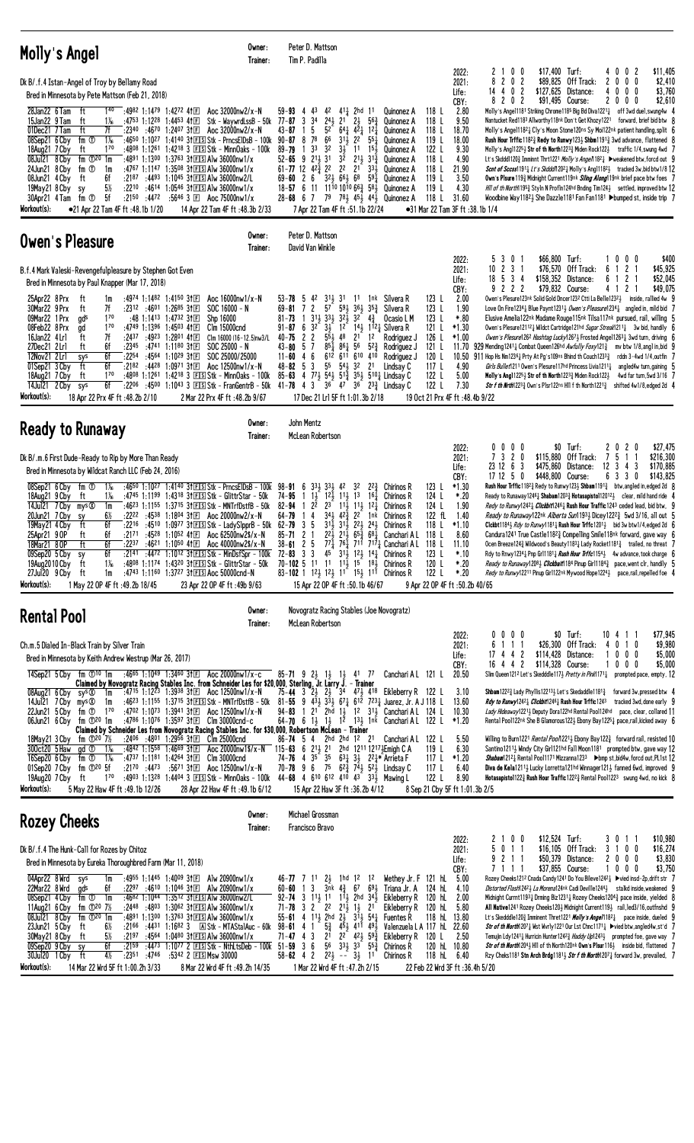| Molly's Angel                                                                                                                                                                                                                                                                                                                                                                                                                                                                                                                          | Owner:<br>Trainer:                                                                                                                                                                                                                                                                                                                                                                                                                                                                                     | Peter D. Mattson<br>Tim P. Padilla                                                                                                                                                                                                                                                                                                                                                                                                                                                            |                                                                                                                                                                                                                                                                                                                                                                                                      |                                                                                                                                                                                                |                                                                                                                           |                                                                                                 |                                                                                                                                                                                                                                                                                                                                                                                                                                                                                                                                                                                                                                                                                                                                                                                                                                                                                                                                                                                                                                                                                                             |
|----------------------------------------------------------------------------------------------------------------------------------------------------------------------------------------------------------------------------------------------------------------------------------------------------------------------------------------------------------------------------------------------------------------------------------------------------------------------------------------------------------------------------------------|--------------------------------------------------------------------------------------------------------------------------------------------------------------------------------------------------------------------------------------------------------------------------------------------------------------------------------------------------------------------------------------------------------------------------------------------------------------------------------------------------------|-----------------------------------------------------------------------------------------------------------------------------------------------------------------------------------------------------------------------------------------------------------------------------------------------------------------------------------------------------------------------------------------------------------------------------------------------------------------------------------------------|------------------------------------------------------------------------------------------------------------------------------------------------------------------------------------------------------------------------------------------------------------------------------------------------------------------------------------------------------------------------------------------------------|------------------------------------------------------------------------------------------------------------------------------------------------------------------------------------------------|---------------------------------------------------------------------------------------------------------------------------|-------------------------------------------------------------------------------------------------|-------------------------------------------------------------------------------------------------------------------------------------------------------------------------------------------------------------------------------------------------------------------------------------------------------------------------------------------------------------------------------------------------------------------------------------------------------------------------------------------------------------------------------------------------------------------------------------------------------------------------------------------------------------------------------------------------------------------------------------------------------------------------------------------------------------------------------------------------------------------------------------------------------------------------------------------------------------------------------------------------------------------------------------------------------------------------------------------------------------|
| Dk B/.f.4 Istan-Angel of Troy by Bellamy Road<br>Bred in Minnesota by Pete Mattson (Feb 21, 2018)                                                                                                                                                                                                                                                                                                                                                                                                                                      |                                                                                                                                                                                                                                                                                                                                                                                                                                                                                                        |                                                                                                                                                                                                                                                                                                                                                                                                                                                                                               |                                                                                                                                                                                                                                                                                                                                                                                                      |                                                                                                                                                                                                |                                                                                                                           | 2022:<br>2021:<br>Life:                                                                         | \$11,405<br>21<br>0 <sub>0</sub><br>$$17,400$ Turf:<br>4002<br>8<br>$\mathbf{2}$<br>0<br>\$89,825<br>Off Track:<br>$\bm{0}$<br>0<br>\$2,410<br>$\overline{\mathbf{c}}$<br>2<br>0<br>$14$ 4 0 2<br>\$127,625<br>Distance:<br>$0\ 0\ 0$<br>\$3,760<br>4                                                                                                                                                                                                                                                                                                                                                                                                                                                                                                                                                                                                                                                                                                                                                                                                                                                       |
| $1^{40}$ :4982 1:1479 1:4272 41 $E$<br>28Jan22 6 Tam<br>ft<br>15Jan22 9 Tam<br>$1\%$<br>:4753 1:1228 1:4453 41 $E$<br>ft<br>ft<br>7f<br>01Dec21 7 Tam<br>$: 23^{40}$ $: 46^{70}$ 1:2407 31 E<br>$1\%$<br>08Sep21 6 Cby<br>fm ①<br>$1^{70}$<br>18Aug21 7 Cby<br>ft<br>fm $\mathbb{D}^{20}$ 1m<br>08Jul21 8 Cby<br>:4891 1:1300<br>24Jun21 8 Cby<br>fm ①<br>:4767 1:1147<br>1m<br>6f<br>08Jun21 4 Cby<br>ft<br>$5\%$<br>:2210<br>19May21 8 Cby<br>sy<br>5f<br>30Apr21 4 Tam<br>fm ①<br>Workout(s):<br>•21 Apr 22 Tam 4F ft :48.1b 1/20   | Aoc 32000nw2/x-N<br>Stk – WaywrdLssB – 50k<br>Aoc $32000$ nw $2/x - N$<br>:4650 1:1027 1:4140 31ES Stk - PrncsElDsB - 100k<br>:48 <sup>08</sup> 1:12 <sup>61</sup> 1:42 <sup>18</sup> 3 ES Stk - MinnOaks - 100k<br>$1:37^{63}$ 31 F S Alw 36000nw1/x<br>1:3508 31ES Alw 36000nw1/x<br>$:21^{87}$ $:44^{93}$ 1:1045 31 E S Alw 36000nw2/L<br>.4614 1:0546 3↑⊡SIAIw 36000nw1/x<br>:2150 :4472 :5646 3 El Aoc 75000nw1/x<br>14 Apr 22 Tam 4F ft: 48.3b 2/33                                              | 59-93<br>43<br>4<br>$77 - 87$ 3<br>34<br>$24\frac{1}{2}$<br>5<br>52<br>$43 - 87$<br>78<br>66<br>$90 - 87$<br>8<br>$89 - 79$<br>33<br>32<br>$9$ $2^{11}$ $3^{1}$<br>52-65<br>$61 - 77$ 12 $42\frac{3}{4}$ 22<br>$69 - 60$ 2 6<br>$18 - 57$ 6 11<br>28-68 6 7 79 78 45 44 Quinonez A<br>7 Apr 22 Tam 4F ft :51.1b 22/24                                                                                                                                                                         | $4^2$ $4^1\frac{1}{4}$ 2hd 11<br>2 <sup>1</sup><br>$2\frac{1}{2}$<br>563<br>$64\frac{1}{4}$ $4\overline{2}$ $12\overline{1}$<br>$31\frac{1}{2}$ $22$<br>$55\frac{1}{4}$<br>31<br>1 <sup>1</sup><br>$15\frac{1}{2}$<br>3 <sup>2</sup><br>$2^{11}$ $3^{13}$<br>2 <sup>2</sup><br>$21^{-}$<br>$33\frac{1}{2}$<br>321 661 68<br>$59\frac{1}{4}$<br>1110 1010 66 $\frac{3}{4}$ 58 <sub>3</sub> Quinonez A | Quinonez A<br>Quinonez A<br>Quinonez A<br>Quinonez A<br>Quinonez A<br>Quinonez A<br>Quinonez A<br>Quinonez A                                                                                   | 118 L<br>118 L<br>118L<br>119L<br>122 L<br>118 L<br>118 L<br>119 L<br>119 L<br>118 L<br>•31 Mar 22 Tam 3F ft :38.1b 1/4   | CBY:<br>2.80<br>9.50<br>18.70<br>18.00<br>9.30<br>4.90<br>21.90<br>3.50<br>4.30<br>31.60        | \$2,610<br>$\mathbf{2}$<br>0<br>2<br>\$91,495 Course:<br>$\mathbf{2}$<br>0<br>8<br>0<br>0<br>Molly's Angel1181 Striking Chrome1185 Big Bd Diva12211 off 3wd duel, swung4w<br>Nantucket Red1183 Allworthy118nk Don't Get Khozy1221 forward, brief bid btw {<br>Molly's Angel11821 Cly's Moon Stone120ns Sy Moi122nk patient handling, split 6<br><b>Rush Hour Tritic 11823 Redy to Runwy 1233 Shbm11913 3wd advance, flattened 8</b><br>Molly's Angl1225 $\frac{1}{2}$ Str of th North1223 $\frac{3}{4}$ Miden Rock122 $\frac{1}{2}$ traffic 1/4, swung 4wd 7<br>Lt's Skddd1120≩ Imminnt Thrt1221 Molly's Ange/1182} >weakened btw.forcd out 9<br>Scnt of Sccss11911 Lt's Skddd/12021 Molly's Angl11821 tracked 3w, bid btw1/8 12<br>Own's Plsure 119 <sub>3</sub> Midnight Current119nk <i>Siling Along</i> 19nk brief pace btw foes 7<br>Hill of th North 1953 Styln N Profin 124hd Bnding Tim 1243 settled, improved btw 12<br>Woodbine Way118 <sup>2</sup> She Dazzle118 <sup>1</sup> Fan Fan118 <sup>1</sup> ▶bumped st, inside trip 7                                                                  |
| Owen's Pleasure                                                                                                                                                                                                                                                                                                                                                                                                                                                                                                                        | Owner:<br>Trainer:                                                                                                                                                                                                                                                                                                                                                                                                                                                                                     | Peter D. Mattson<br>David Van Winkle                                                                                                                                                                                                                                                                                                                                                                                                                                                          |                                                                                                                                                                                                                                                                                                                                                                                                      |                                                                                                                                                                                                |                                                                                                                           |                                                                                                 |                                                                                                                                                                                                                                                                                                                                                                                                                                                                                                                                                                                                                                                                                                                                                                                                                                                                                                                                                                                                                                                                                                             |
| B.f.4 Mark Valeski-Revengefulpleasure by Stephen Got Even<br>Bred in Minnesota by Paul Knapper (Mar 17, 2018)                                                                                                                                                                                                                                                                                                                                                                                                                          |                                                                                                                                                                                                                                                                                                                                                                                                                                                                                                        |                                                                                                                                                                                                                                                                                                                                                                                                                                                                                               |                                                                                                                                                                                                                                                                                                                                                                                                      |                                                                                                                                                                                                |                                                                                                                           | 2022:<br>2021:<br>Life:                                                                         | \$66,800<br>Turf:<br>\$400<br>5<br>3<br>$\mathbf{0}$<br>0 <sub>0</sub><br>0<br>$10$ 2 3 1<br>\$76,570 Off Track:<br>$\overline{c}$<br>\$45,925<br>6<br>-5<br>3 <sub>1</sub><br>\$158,352 Distance:<br>\$52,045<br>18<br>6<br>1 2                                                                                                                                                                                                                                                                                                                                                                                                                                                                                                                                                                                                                                                                                                                                                                                                                                                                            |
| 25Apr22 8Prx<br>:4974 1:1482 1:4150 31 $E$<br>ft<br>1m<br>30Mar22 9 Prx<br>7f<br>:2312 :46 <sup>01</sup> 1:26 <sup>85</sup> 311回<br>ft<br>09Mar22 1 Prx<br>170<br>gds<br>$1^{70}$<br>:4749 1:1396 1:4503 41 $E$<br>08Feb22 8 Prx<br>ad<br>7f<br>ft<br>16Jan22 4 Lr1<br>:2437<br>27Dec21 2Lrl<br>:2345<br>ft<br>6f<br>12Nov21 2 Lrl<br>6f<br>:2254 :4564 1:1029 311<br>sys<br>6f<br>01Sep21 3 Cby<br>ft<br>:2182<br>18Aug21 7 Cby<br>ft<br>170<br>6f<br>14Jul21 2 Cby<br>:2206<br>sys<br>Workout(s):<br>18 Apr 22 Prx 4F ft :48.2b 2/10 | Aoc 16000nw1/x-N<br>$SOC 16000 - N$<br>:48 1:1413 1:4732 31 $E$<br>Shp 16000<br>Clm 15000cnd<br>:4923 1:2801 411日<br>Clm 16000 (16-12.5)nw3/L<br>:4741 1:1180 31E<br>$SOC 25000 - N$<br>SOC 25000/25000<br>:4428 1:0971 311回<br>Aoc 12500nw1/x-N<br>:4808 1:1261 1:4218 3 ES Stk - MinnOaks - 100k<br>:4500 1:1043 3 $FIS$ Stk - FrangentrB - 50k<br>2 Mar 22 Prx 4F ft : 48.2b 9/67                                                                                                                   | 311, 31<br>-5<br>42<br>53-78<br>$\mathbf{2}$<br>57<br>$69 - 81$<br>7<br>$1 \frac{311}{2} \frac{331}{2}$<br>$81 - 73$<br>$91 - 87$ 6 3 <sup>2</sup><br>$3\frac{1}{2}$<br>$5\bar{5}$<br>$\overline{2}$<br>$\overline{c}$<br>$40 - 75$<br>7<br>5<br>$85\frac{1}{4}$ $86\frac{1}{4}$<br>43-80<br>4 6<br>$11 - 60$<br>3<br>55<br>$48 - 82$<br>- 5<br>85-63 4 77 54 51 35 51 510 Lindsay C<br>$41 - 78$ 4 3<br>17 Dec 21 Lr1 5F ft 1:01.3b 2/18                                                     | 1 <sup>1</sup><br>59 <sub>3</sub><br>$36\frac{1}{2}$<br>$35\frac{3}{4}$<br>$32\frac{1}{2}$<br>32<br>$4\frac{3}{7}$<br>$1^2$ $1^4$ $1^1$ $1^2$ Silvera R<br>48<br>1 <sup>2</sup><br>2 <sup>1</sup><br>56<br>$5^{2}\frac{3}{7}$<br>612 611 610 410<br>541<br>32<br>2 <sup>1</sup><br>36 47 36 233 Lindsay C                                                                                            | 1 <sup>nk</sup> Silvera R<br>Silvera R<br>Ocasio L M<br>Rodriguez J<br>Rodriguez J<br>Rodriguez J<br>Lindsay C                                                                                 | 123L<br>123L<br>123 L<br>121 L<br>126 L<br>121 L<br>120 L<br>117L<br>122 L<br>122 L<br>19 Oct 21 Prx 4F ft : 48.4b 9/22   | CBY:<br>2.00<br>1.90<br>$*.80$<br>*1.30<br>$*1.00$<br>11.70<br>4.90<br>5.00<br>7.30             | 9 2 2 2<br>\$79,832 Course:<br>412<br>\$49,075<br>Owen's Plesure123nk Solid Gold Dncer1232 Ctti La Belle12323<br>inside, rallied 4w (<br>Love On Fire1234 Blue Paynt1231 <i>9 Wen's Pleasure</i> 1234 angled in, mild bid $\overline{I}$<br>Elusive Amelia122nk Madame Rouge115nk Tilsa117nk pursued, rail, willing 5<br>Owen's Plesure121121 Wildct Cartridge121hd Sugar Streak12111 3w bid, handily (<br>Owen's Plesure126 <sup>2</sup> Hashtag Lucky1267 <sub>3</sub> Frosted Ange11263 <sub>4</sub> 3wd turn, driving (<br>929 Mending 1241 <sub>4</sub> Combat Queen 126hd <i>Awfully Foxy</i> 121 <sub>4</sub><br>mv btw 1/8, angl in, bid 9<br>10.50 911 Hop Hs Nm123 <sup>61</sup> / <sub>4</sub> Prty At Pg's 109ns Bhind th Couch 123 <sup>3</sup> / <sub>4</sub><br>rddn $3-4wd 1/4$ , outfin $7$<br>Girls Bullet1211 Owen's Plesure117hd Princess Livia1211 <sup>1</sup><br>angled4w turn, gaining 5<br>Molly's Angl 12251 Str of th North 1223 $\frac{3}{4}$ Miden Rock 1221<br>4wd far turn, 5wd 3/16 7<br>Str f th Nrth 12233 Own's Plsr122ns H11 f th North 12213 shifted 4w1/8, edged 2d 4 |
| <b>Ready to Runaway</b>                                                                                                                                                                                                                                                                                                                                                                                                                                                                                                                | Owner:<br>Trainer:                                                                                                                                                                                                                                                                                                                                                                                                                                                                                     | John Mentz<br>McLean Robertson                                                                                                                                                                                                                                                                                                                                                                                                                                                                |                                                                                                                                                                                                                                                                                                                                                                                                      |                                                                                                                                                                                                |                                                                                                                           |                                                                                                 |                                                                                                                                                                                                                                                                                                                                                                                                                                                                                                                                                                                                                                                                                                                                                                                                                                                                                                                                                                                                                                                                                                             |
| Dk B/.m.6 First Dude-Ready to Rip by More Than Ready<br>Bred in Minnesota by Wildcat Ranch LLC (Feb 24, 2016)                                                                                                                                                                                                                                                                                                                                                                                                                          |                                                                                                                                                                                                                                                                                                                                                                                                                                                                                                        |                                                                                                                                                                                                                                                                                                                                                                                                                                                                                               |                                                                                                                                                                                                                                                                                                                                                                                                      |                                                                                                                                                                                                |                                                                                                                           | 2022:<br>2021:<br>Life:                                                                         | $0\,0\,0\,0$<br>\$0 Turf:<br>2020<br>\$27,475<br>73<br>20<br>Off Track:<br>5<br>\$216,300<br>\$115,880<br>7<br>$\mathbf{1}$<br>23 12 6 3<br>\$475,860<br>$12 \t3 \t4$<br>3<br>Distance:<br>\$170,885                                                                                                                                                                                                                                                                                                                                                                                                                                                                                                                                                                                                                                                                                                                                                                                                                                                                                                        |
| 08Sep21 6 Cby<br>fm ①<br>$1\%$<br>18Aug21 9 Cby<br>$1\%$<br>ft<br>14Jul21 7 Cby mys <sup>®</sup><br>1m<br>20Jun21 7 Cby<br>$6\%$<br>sy<br>6f<br>19May21 4 Cby<br>ft<br>6f<br>25Apr21 9 OP<br>ft<br>6f<br>18Mar21 8.OP<br>ft<br>09Sep20 5 Cby<br>6f<br>sy<br>19Aug2010 Cby<br>ft<br>$1\%$<br>27Jul20 9 Cby ft<br>1m<br>Workout(s):<br>1 May 22 OP 4F ft :49.2b 18/45                                                                                                                                                                    | :4650 1:1027 1:4140 31 E Stk - Prncs ElDs B - 100 k<br>:4745 1:1199 1:4318 31 ES Stk - GlittrStar - 50k<br>:4623 1:1155 1:3715 31 ES Stk - MNTrfDstfB - 50k<br>:2222 :4538 1:1804 31 $E$ Aoc 20000nw2/x-N<br>:2171 :4528 1:1052 41 El Aoc 62500nw2\$/x-N<br>:2237 :4621 1:1050 41E Aoc 40000nw2\$/x-N<br>$: 2141$ $: 4472$ 1:1012 31 E Stk - Min DsfSpr - 100 k<br>:4808 1:1174 1:4320 31 ES Stk - Glittr Star - 50k<br>:4743 1:1160 1:3727 3† ES Aoc 50000cnd-N<br>23 Apr 22 OP 4F ft: 49b 9/63       | $33\frac{1}{2}$ $33\frac{1}{2}$<br>98-91<br>6<br>$12\frac{1}{2}$<br>$1\frac{1}{2}$<br>74-95<br>$2^{\overline{2}}$<br>23<br>82-94<br>-1<br>34 <sub>3</sub><br>64-79<br>4<br>-5<br>$3^{1\bar{1}}$<br>3<br>85-71<br>21<br>$2^{2}$<br>$38 - 61$<br>2 <sub>5</sub><br>72-83 3 3 45 31 $\frac{1}{2}$ 12 $\frac{1}{2}$ 14 $\frac{1}{4}$ Chirinos R<br>70-102 5 11 11 11 $\frac{1}{2}$ 15 18 Chirinos R<br>83-102 1 $1^2$ , $1^2$ , $1^1$ $1^5$ , $1^1$ Chirinos R<br>15 Apr 22 OP 4F ft: 50.1b 46/67 | $2^{2^{3}}$<br>42<br>32<br>$11\frac{1}{2}$<br>1 <sup>3</sup><br>$16\frac{1}{4}$<br>$11\frac{1}{2}$<br>$11\frac{1}{2}$ $12\frac{1}{4}$<br>$42\frac{3}{7}$<br>$2^{2}$<br>1nk<br>$31\frac{1}{2}$ $22\frac{1}{2}$ $24\frac{1}{2}$<br>$65\frac{3}{4}$ $68\frac{1}{4}$<br>$21\frac{1}{2}$                                                                                                                  | Chirinos R<br><b>Chirinos R</b><br>Chirinos R<br><b>Chirinos R</b><br>Chirinos R<br>Canchari A L<br>$7^{7}\frac{5}{4}$ 7 <sup>6</sup> $\frac{5}{4}$ 71 <sup>7</sup> $\frac{7}{4}$ Canchari A L | 123L<br>124 L<br>124 L<br>122 fL<br>118 L<br>118 L<br>118L<br>123 L<br>120 L<br>122 L<br>9 Apr 22 OP 4F ft: 50.2b 40/65   | CBY:<br>$*1.30$<br>*.20<br>1.90<br>1.40<br>$*1.10$<br>8.60<br>11.10<br>*.10<br>$*.20$<br>$*.20$ | 171250<br>6 3 3 0<br>\$143,825<br>\$448,800 Course:<br><b>Rush Hour Trffic</b> 1182 $\frac{3}{4}$ Redy to Runwy 123 $\frac{1}{2}$ <b>Shbam</b> 1191 $\frac{3}{4}$ btw, angled in, edged 2d $\,$ 8<br>Ready to Runaway 1246 $\frac{1}{4}$ Shabam 1203 $\frac{3}{4}$ Hotasapisto 112012 $\frac{1}{2}$ clear, mild hand ride 4<br>Redy to Runwy12421 Clickbit12461 Rush Hour Traffic1243 ceded lead, bid btw, 9<br>Ready to Runaway122nk Alberta Sun11933 Dicey12223 5wd 3/16, all out 5<br>Clckbt1184} Rdy to Runwy1181} Rush Hour Trffc1201} bid 3w btw1/4,edged 2d 6<br>Candura1241 True Castle11823 Compelling Smile118nk forward, gave way 6<br>Ocen Breeze124 $\frac{3}{4}$ Wildwood's Beauty1183 $\frac{1}{4}$ Lady Rocket1181 $\frac{3}{4}$ trailed, no threat 7<br>Rdy to Rnwy1234 $\frac{1}{4}$ Pnp Gr11181 $\frac{1}{4}$ Rush Hour Trffc1154 $\frac{1}{2}$ 4w advance, took charge 6<br>Ready to Runaway12081 Clickbalt 184 Pinup Girl11843 pace, went clr, handily 5<br>Redy to Runwy12211 Pinup Girl122nk Mywood Hope12243 pace,rail,repelled foe 4                                               |
| <b>Rental Pool</b>                                                                                                                                                                                                                                                                                                                                                                                                                                                                                                                     | Owner:<br>Trainer:                                                                                                                                                                                                                                                                                                                                                                                                                                                                                     | Novogratz Racing Stables (Joe Novogratz)<br>McLean Robertson                                                                                                                                                                                                                                                                                                                                                                                                                                  |                                                                                                                                                                                                                                                                                                                                                                                                      |                                                                                                                                                                                                |                                                                                                                           |                                                                                                 |                                                                                                                                                                                                                                                                                                                                                                                                                                                                                                                                                                                                                                                                                                                                                                                                                                                                                                                                                                                                                                                                                                             |
| Ch.m.5 Dialed In-Black Train by Silver Train<br>Bred in Minnesota by Keith Andrew Westrup (Mar 26, 2017)<br>14Sep21 5 Cby fm $\odot$ 10 1m :46 <sup>65</sup> 1:1049 1:3460 31 El Aoc 20000nw1/x-c                                                                                                                                                                                                                                                                                                                                      | Claimed by Novogratz Racing Stables Inc. from Schneider Les for \$20,000, Sterling, Jr. Larry J. - Trainer                                                                                                                                                                                                                                                                                                                                                                                             | $85 - 71$ 9 2 $\frac{1}{2}$ 1 $\frac{1}{2}$ 1 $\frac{1}{2}$ 4 1 7                                                                                                                                                                                                                                                                                                                                                                                                                             |                                                                                                                                                                                                                                                                                                                                                                                                      | Canchari A L 121 L                                                                                                                                                                             |                                                                                                                           | 2022:<br>2021:<br>Life:<br>CBY:<br>20.50                                                        | \$0 Turf:<br>\$77,945<br>0000<br>10 4 1 1<br>\$26,300 Off Track:<br>\$9,980<br>6<br>111<br>$0 \t1 \t0$<br>4<br>17 4 4 2<br>\$114,428<br>Distance:<br>$0\ 0\ 0$<br>\$5,000<br>16 4 4 2<br>$0\ 0\ 0$<br>\$5,000<br>\$114,328 Course:<br>Slim Queen121 <sup>2</sup> Let's Skedddle117½ <i>Pretty in Pink</i> 1171½ prompted pace, empty, <b>12</b>                                                                                                                                                                                                                                                                                                                                                                                                                                                                                                                                                                                                                                                                                                                                                             |
| $08$ Aug21 6 Cby sys $\circledR$<br>1m<br>14Jul21 7 Cby mys $\infty$<br>1m<br>$22$ Jun21 5 Cby fm $1$<br>$1^{70}$<br>06Jun21 6 Cby fm 120 1m                                                                                                                                                                                                                                                                                                                                                                                           | :47 <sup>15</sup> 1:12 <sup>23</sup> 1:39 <sup>38</sup> 31 $E$ Aoc 12500nw1/x-N<br>:46 <sup>23</sup> 1:11 <sup>55</sup> 1:37 <sup>15</sup> 31ES Stk - MNTrfDstfB - 50k<br>:4702 1:1073 1:3941 31 El Aoc 12500nw1/x-N<br>:4786 1:1076 1:3597 31 $E$ Clm 30000cnd-c<br>Claimed by Schneider Les from Novogratz Racing Stables Inc. for \$30,000, Robertson McLean - Trainer                                                                                                                              | 75-44 3 23 23 34 473 418 Eikleberry R 122 L<br>81-55 9 $43\frac{1}{2}$ $33\frac{1}{2}$ $67\frac{1}{4}$ $612$ $723\frac{1}{4}$ Juarez, Jr. A J 118 L<br>1 2 <sup>1</sup> 2hd 13 1 <sup>2</sup> 3 <sup>1</sup> Canchari A L 124 L<br>94-83<br>64-70 6 13 13 12 133 1nk Canchari AL 122 L                                                                                                                                                                                                        |                                                                                                                                                                                                                                                                                                                                                                                                      |                                                                                                                                                                                                |                                                                                                                           | 3.10<br>13.60<br>10.30<br>$*1.20$                                                               | <b>Shbam</b> 122 <sup>23</sup> 4 Lady Phy11is1221334 Let's Skedaddle1181 $\frac{3}{4}$ forward 3w, pressed btw 4<br>Rdy to Runwy1242} Clickbit1246} Rush Hour Trffic1243 tracked 3wd, done early 9<br>Lady Hideaway12213 Deputy Dora122hd Rental Pool124hd pace, clear, collared 11<br>Rental Pool122nk She B Glamorous1223 Ebony Bay12251 pace, rail, kicked away 6                                                                                                                                                                                                                                                                                                                                                                                                                                                                                                                                                                                                                                                                                                                                        |
| fm ① $20\,7\%$<br>18May21 3 Cby<br>300ct20 5 Haw<br>:4842 1:1558 1:4669 31 $E$<br>gd ①<br>1‰<br>16Sep20 6 Cby<br>fm ①<br>:4737 1:1181 1:4264 3111<br>$1\%$<br>$:21^{70}$ $:44^{73}$ $:56^{71}$ 3†E<br>01Sep20 7 Cby $\mathsf{fm}$ $\mathbb{O}^{20}$ 5f<br>19Aug20 7 Cby ft<br>$1^{70}$<br>Workout(s):<br>5 May 22 Haw 4F ft : 49.1b 12/26                                                                                                                                                                                              | $:24^{06}$ $:48^{01}$ 1:2956 31 E Clm 25000 cnd<br>Aoc 20000nw1\$/x-N 115-63 6 213 21 2hd 1211 12173 Emigh C A<br>Clm 30000cnd<br>Aoc 12500nw1/x-N<br>:4903 1:1328 1:4404 3 EISStk - MinnOaks - 100k 44-68 4 610 612 410 43 33 Mawing L<br>28 Apr 22 Haw 4F ft: 49.1b 6/12                                                                                                                                                                                                                             | 86-74 5 4 2hd 2hd 12 21<br>74-76 4 35 35 631 31 221* Arrieta F<br>70-78 9 6 75 $62\frac{3}{4}$ 7 <sup>4</sup> 52 <sup>1</sup> / <sub>2</sub> Lindsay C<br>15 Apr 22 Haw 3F ft :36.2b 4/12                                                                                                                                                                                                                                                                                                     |                                                                                                                                                                                                                                                                                                                                                                                                      | Canchari A L                                                                                                                                                                                   | 122 L<br>119L<br>117 L<br>117 $L$<br>122 L<br>8 Sep 21 Cby 5F ft 1:01.3b 2/5                                              | 5.50<br>6.30<br>*1.20<br>6.40<br>8.90                                                           | Willing to Burn1221 <i>Rental Pool</i> 12213 Ebony Bay1223 forward rail, resisted 10<br>Santino12113 Windy City Girl121hd Fall Moon1181 prompted btw, gave way 12<br>Shabam12121 Rental Pool1171 Mizzanna1233 Dbmp st, bid4w, forcd out, PL1st 12<br>Diva de Kela12113 Lucky Lorretta121hd Winnager1213 fanned 6wd, improved 9<br><b>Hotasapistol122 Rush Hour Traffic1222 Rental Pool1223</b> swung 4wd, no kick $8$                                                                                                                                                                                                                                                                                                                                                                                                                                                                                                                                                                                                                                                                                       |
| <b>Rozey Cheeks</b>                                                                                                                                                                                                                                                                                                                                                                                                                                                                                                                    | Owner:<br>Trainer:                                                                                                                                                                                                                                                                                                                                                                                                                                                                                     | Michael Grossman<br>Francisco Bravo                                                                                                                                                                                                                                                                                                                                                                                                                                                           |                                                                                                                                                                                                                                                                                                                                                                                                      |                                                                                                                                                                                                |                                                                                                                           |                                                                                                 |                                                                                                                                                                                                                                                                                                                                                                                                                                                                                                                                                                                                                                                                                                                                                                                                                                                                                                                                                                                                                                                                                                             |
| Dk B/.f.4 The Hunk-Call for Rozes by Chitoz<br>Bred in Minnesota by Eureka Thoroughbred Farm (Mar 11, 2018)                                                                                                                                                                                                                                                                                                                                                                                                                            |                                                                                                                                                                                                                                                                                                                                                                                                                                                                                                        |                                                                                                                                                                                                                                                                                                                                                                                                                                                                                               |                                                                                                                                                                                                                                                                                                                                                                                                      |                                                                                                                                                                                                |                                                                                                                           | 2022:<br>2021:<br>Life:                                                                         | 2100<br>$$12,524$ Turf:<br>\$10,980<br>3011<br>5<br>$0 \t1 \t1$<br>$$16,105$ Off Track:<br>3 1 0 0<br>\$16,274<br>9 2 1 1<br>\$50,379<br>Distance:<br>\$3,830<br>$^{2}$<br>$0\,0\,0$                                                                                                                                                                                                                                                                                                                                                                                                                                                                                                                                                                                                                                                                                                                                                                                                                                                                                                                        |
| 04Apr22 8Wrd<br>sys<br>1m<br>22Mar22 8 Wrd<br>6f<br>gds<br>08Sep21 4 Cby<br>fm ①<br>1m<br>fm $\Phi^{20}$ 7%<br>11Aug21 6 Cby<br>08Jul21 8 Cby<br>fm $\mathbb{D}^{20}$ 1m<br>23Jun21 5 Cby<br>6½<br>ft<br>$5\%$<br>30May21 8 Cby<br>ft<br>6f<br>09Sep20 9 Cby<br>sy<br>$4\frac{1}{2}$<br>30Jul20 1 Cby ft<br>Workout(s):<br>14 Mar 22 Wrd 5F ft 1:00.2h 3/33                                                                                                                                                                            | :4955 1:1445 1:4009 31 E Alw 20900nw1/x<br>$:2297$ $:4610$ 1:1046 31 E Alw 20900nw1/x<br>:4682 1:1044 1:3512 31 FS Alw 36000nw2/L<br>$:24^{48}$ $:48^{03}$ 1:30 <sup>62</sup> 31 E S Alw 36000 nw1/x<br>:4891 1:1300 1:3763 31 EIS AIw 36000nw1/x<br>:2166 :4431 1:1682 3 A Stk - MTAStalAuc - 60k<br>$:2197$ $:4564$ 1:0480 31 E S Alw 36000 nw 1/x<br>$:21^{59}$ $:44^{73}$ 1:1077 2 EISStk - NthLtsDeb - 100k<br>$:23^{51}$ $:47^{46}$ $:53^{42}$ 2 ESMsw 30000<br>8 Mar 22 Wrd 4F ft : 49.2h 14/35 | 46-77 7 11<br>$60 - 60$ 1 3<br>$92 - 74$ 3 11, 11 11, 2hd 34,<br>71-78 3 2 $^{\circ}$ 2 <sup>2</sup> 2 <sup>1</sup> / <sub>2</sub> 1 <sup>1</sup> / <sub>2</sub> 2 <sup>1</sup><br>55-61 4 113 2hd $2\frac{1}{2}$ 313 54 $\frac{1}{4}$ Fuentes R<br>$5\frac{3}{4}$<br>$98 - 61$ 4 1<br>2 <sup>i</sup><br>71-47 43<br>$51 - 59$ 3 6<br>$58-62$ 4 2 $2^2\frac{1}{2}$ -- $3\frac{1}{2}$ 11<br>1 Mar 22 Wrd 4F ft :47.2h 2/15                                                                     | $2\frac{1}{2}$ 1hd 1 <sup>2</sup> 1 <sup>2</sup><br>$3nk$ $4\frac{3}{4}$ 67<br>451 411 491<br>$2^{2}$ 42 $\frac{1}{2}$ 59 $\frac{3}{4}$<br>$56$ $33\frac{1}{2}$ $33$ $55\frac{3}{4}$                                                                                                                                                                                                                 | Wethey Jr. F 121 hL<br>$69\frac{1}{2}$ Triana Jr. A<br>Eikleberry R<br>Eikleberry R<br>Valenzuela L A 117 hL 22.60<br>Eikleberry R<br>Chirinos R<br>Chirinos R                                 | 124 hL<br>120 hL<br>120 hL 5.80<br>118 hL 13.80<br>120 L<br>120 hL 10.80<br>118 hL 6.40<br>22 Feb 22 Wrd 3F ft:36.4h 5/20 | CBY:<br>5.00<br>4.10<br>2.00<br>2.50                                                            | \$37,855 Course:<br>$0\,0\,0$<br>\$3,750<br>7111<br>1<br>Rozey Cheeks121º Cnada Candy1241 Do You Bileve124º½ ▶vied insd-2p,drift str    7<br>Distorted Flash12423 La Morena124nk Cadi Deville12443 stalkd inside, weakened 9<br>Midnight Currnt11931 Drming Biz12311 Rozey Cheeks12041 pace inside, yielded 8<br>All Native 1241 Rozey Cheeks 1203 Midnight Current 1193 rail, led 3/16, out finshd 9<br>Lt's Skedddle120 $\frac{3}{4}$ Imminent Thret1221 <i>Nolly's Angel</i> 1182 $\frac{1}{4}$ pace inside, dueled 9<br><b>Str of th North</b> 1207 West Worly 1221 Our Lst Chnc1171 <b>D</b> vied btw, angled 4w, st'd<br>Temujin Ldy1241½ Hurricin Hunter1242½ <i>Haddy Up</i> 1243½ prompted foe, gave way 7<br>Str of th North $1204\frac{1}{2}$ HII of th North 120 <sup>nk</sup> Own's Pisur 116 $\frac{1}{2}$ inside bid, flattened 7<br>Rzy Cheks1181 Stn Arch Brdg1181 <sub>2</sub> Str f th North1207 <sub>4</sub> forward 3w, prevailed, 7                                                                                                                                                   |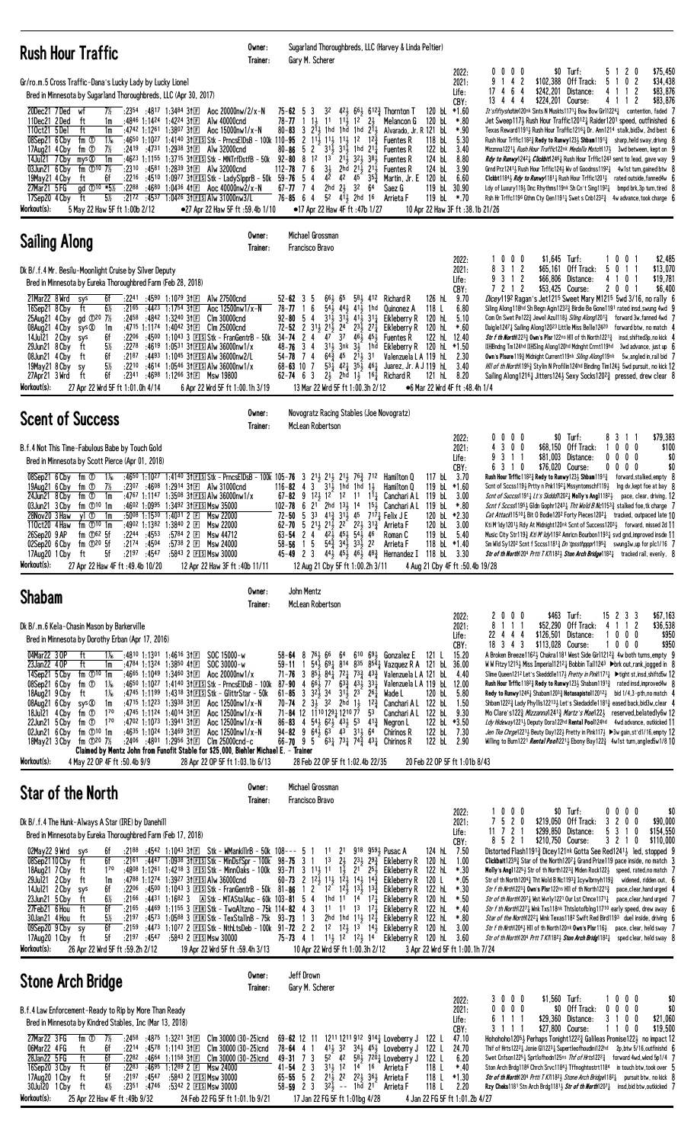| <b>Rush Hour Traffic</b>                                                                                                                                                                                                                                                                                                                                                                                                                                                                                                                                                                                                                                                                                                                                                                                                                                                                                                                                                                                                                                                                                                                                                    | Owner:<br>Trainer: | Sugarland Thoroughbreds, LLC (Harvey & Linda Peltier)<br>Gary M. Scherer                                                                                                                                                                                                                                                                                                                                                                                                                                                                                                                                                                                                                                                                                                                                                                                                                                                                                                                                                                                                                                                                                                                                                                                                                                                                                                                                                                                                                                                                                                                                                                                                                                                                                                                                                                                                                                                                                                                                                                                                                                                                                                                                                                                                                                                                                                                                                                                                                                 |
|-----------------------------------------------------------------------------------------------------------------------------------------------------------------------------------------------------------------------------------------------------------------------------------------------------------------------------------------------------------------------------------------------------------------------------------------------------------------------------------------------------------------------------------------------------------------------------------------------------------------------------------------------------------------------------------------------------------------------------------------------------------------------------------------------------------------------------------------------------------------------------------------------------------------------------------------------------------------------------------------------------------------------------------------------------------------------------------------------------------------------------------------------------------------------------|--------------------|----------------------------------------------------------------------------------------------------------------------------------------------------------------------------------------------------------------------------------------------------------------------------------------------------------------------------------------------------------------------------------------------------------------------------------------------------------------------------------------------------------------------------------------------------------------------------------------------------------------------------------------------------------------------------------------------------------------------------------------------------------------------------------------------------------------------------------------------------------------------------------------------------------------------------------------------------------------------------------------------------------------------------------------------------------------------------------------------------------------------------------------------------------------------------------------------------------------------------------------------------------------------------------------------------------------------------------------------------------------------------------------------------------------------------------------------------------------------------------------------------------------------------------------------------------------------------------------------------------------------------------------------------------------------------------------------------------------------------------------------------------------------------------------------------------------------------------------------------------------------------------------------------------------------------------------------------------------------------------------------------------------------------------------------------------------------------------------------------------------------------------------------------------------------------------------------------------------------------------------------------------------------------------------------------------------------------------------------------------------------------------------------------------------------------------------------------------------------------------------------------------|
| Gr/ro.m.5 Cross Traffic-Dana's Lucky Lady by Lucky Lionel<br>Bred in Minnesota by Sugarland Thoroughbreds, LLC (Apr 30, 2017)<br>:2354 :4817 1:3484 311 E<br>20Dec21 7Ded<br>7½<br>wf<br>ft<br>:4846 1:1424 1:4224 3†国<br>11Dec21 2Ded<br>1m<br>Alw 40000cnd<br>110ct21 5Del<br>ft<br>:4742 1:1261 1:3807 31 $E$<br>1m<br>Aoc $15000$ nw $1/x - N$<br>08Sep21 6 Cby<br>fm ①<br>$1\%$<br>:4650 1:1027 1:4140 31 E S tk - Prncs ElDs B - 100k 110-95<br>7½<br>:2419 :4731 1:2938 31 El Alw 32000 cnd<br>17Aug21 4 Cby<br>fm ①<br>14Jul21 7 Cby<br>mys ®<br>1m<br>:46 <sup>23</sup> 1:11 <sup>55</sup> 1:37 <sup>15</sup> 3†ESStk - MNTrfDstfB - 50k 92- <b>80</b><br>:2310 :4581 1:2839 31 I Alw 32000cnd<br>03Jun21 6 Cby<br>fm $\Phi^{10}$ 7%<br>:2216 :4510 1:0977 31 ES Stk - Lady SlpprB - 50k 59-76<br>19May21 4 Cby<br>ft<br>6f<br>27Mar21 5 FG<br>gd ①10 *5½<br>:2288 :4680 1:0436 41E Aoc 40000nw2/x-N<br>17Sep20 4 Cby<br>5½<br>$:2172$ $:4537$ 1:0426 31 E S Alw 31000nw3/L<br>ft<br>Workout(s):<br>5 May 22 Haw 5F ft 1:00b 2/12<br>•27 Apr 22 Haw 5F ft :59.4b 1/10                                                                                              | Aoc 20000nw/2/x-N  | $$0$ Turf:<br>\$75,450<br>$0\,0\,0\,0$<br>20<br>2022:<br>b.<br>-1<br>9 1 4 2<br>\$102,388 Off Track:<br>5<br>0 <sub>2</sub><br>\$34,438<br>2021:<br>-1.<br>\$242,201<br>\$83,876<br>17 4 6 4<br>Distance:<br>4<br>Life:<br>-1<br>2<br>CBY:<br>13 4 4 4<br>\$224,201 Course:<br>4 1 1 2<br>\$83,876<br>120 bL $*1.60$<br>$75 - 62$ 5<br>3<br>32<br>$42\frac{1}{2}$ 6 <sup>6</sup> $\frac{1}{2}$ 6 <sup>12</sup> $\frac{3}{4}$ Thornton T<br>It'sfiftyshdtim120nk Sints N Muskts1171 $\frac{1}{4}$ Bow Bow Girl1224 $\frac{1}{4}$ contention, faded 7<br>$11\frac{1}{2}$ $12^{-}$<br>78-77<br>21<br>Jet Sweep117} Rush Hour Traffic12012} Raider1201 speed, outfinished 6<br>-1<br>$1\frac{1}{2}$<br>11<br>Melancon G<br>120 bL<br>*.80<br>$3 \t213$<br>1hd<br>1hd 1hd 211<br>Alvarado, Jr. R 121 bl<br>$*90$<br>$80 - 83$<br>Texas Reward11913 Rush Hour Traffic1216 $\frac{1}{4}$ Dr. Ann1214 stalk, bid3w, 2nd best 6<br>2 11 <sup>1</sup> / <sub>2</sub> 11 <sup>1</sup> / <sub>2</sub> 1 <sup>1</sup> / <sub>2</sub> 1 <sup>2</sup><br>118 bL<br>$12\frac{3}{7}$<br>5.30<br>Rush Hour Trffic118 <sup>2</sup> $\frac{3}{4}$ Redy to Runwy123 $\frac{1}{2}$ Shbam1191 $\frac{3}{4}$ sharp, held sway, drivng 8<br><b>Fuentes R</b><br>$80 - 86$ 5 2<br>$31\frac{1}{2}$ $31\frac{1}{2}$ 1hd $21\frac{1}{4}$<br>122 bL<br><b>Fuentes R</b><br>3.40<br>Mizznna1221 <sub>4</sub> Rush Hour Traffic122nk Medalla Match1173 3wd between, kept on 9<br>8<br>1 <sup>2</sup><br>$2^{1\bar{1}}$<br>1 <sup>3</sup><br>321, 381<br>124 bL<br>8.80<br>Rdy to Runwy12421 Clickbit12461 Rush Hour Trffic1243 sent to lead, gave way 9<br><b>Fuentes R</b><br>2hd 21) 21)<br>76<br>$3\frac{1}{2}$<br>124 bL<br>$112 - 78$<br><b>Fuentes R</b><br>3.90<br>Grnd Prz1241 $\frac{1}{2}$ Rush Hour Trffic124 $\frac{1}{2}$ Wv of Goodnss1192 $\frac{1}{4}$ 4w1st turn, gained btw 8<br>42<br>54<br>45<br>6.60<br>42<br>$35\frac{3}{7}$<br>Martin, Jr. E 120 bL<br>Clckbt1184 <sub>2</sub> <i>Rdy to Runwy</i> 1181 <sub>4</sub> Rush Hour Trffic1201 <sub>2</sub> rated outside, fanned4w 6<br>$2hd$ $2\frac{1}{2}$<br>119 bL 30.90<br>$67 - 77$ 7 4<br>32 64<br>Saez G<br>Ldy of Luxury119} Dnc Rhythms119nk Sh Cn't Sing1192} bmpd brk,3p turn, tired 8<br>$5^2$ $4^1$ , $2^h$ $1^6$<br>$76 - 85$ 6 4<br>119 bL *.70<br>Rsh Hr Trffc1196 Gthm Cty Qen1191 $\frac{1}{4}$ Swet s Cnb1232 $\frac{3}{4}$ 4w advance, took charge 6<br>Arrieta F<br>10 Apr 22 Haw 3F ft :38.1b 21/26<br>$\bullet$ 17 Apr 22 Haw 4F ft :47b 1/27 |
| <b>Sailing Along</b>                                                                                                                                                                                                                                                                                                                                                                                                                                                                                                                                                                                                                                                                                                                                                                                                                                                                                                                                                                                                                                                                                                                                                        | Owner:<br>Trainer: | Michael Grossman<br>Francisco Bravo                                                                                                                                                                                                                                                                                                                                                                                                                                                                                                                                                                                                                                                                                                                                                                                                                                                                                                                                                                                                                                                                                                                                                                                                                                                                                                                                                                                                                                                                                                                                                                                                                                                                                                                                                                                                                                                                                                                                                                                                                                                                                                                                                                                                                                                                                                                                                                                                                                                                      |
| Dk B/.f.4 Mr. Besilu-Moonlight Cruise by Silver Deputy<br>Bred in Minnesota by Eureka Thoroughbred Farm (Feb 28, 2018)<br>21Mar22 8Wrd<br>:22 <sup>41</sup> :45 <sup>90</sup> 1:10 <sup>79</sup> 31冝<br>Alw 27500cnd<br>sys<br>6f<br>$6\%$<br>ft<br>:2165<br>:4423 1:1754 311日<br>Aoc 12500nw1/x-N<br>16Sep21 8 Cby<br>gd 120 7%<br>$:2458$ $:4842$ 1:3240 31 E<br>25Aug21 4 Cby<br>Clm 30000cnd<br>sys ®<br>:4715 1:1174 1:4042 31日<br>08Aug21 4 Cby<br>1m<br>C1m 25000cnd<br>14Jul21 2 Cby<br>6f<br>:4500 1:1043 3 $F[S]$ Stk - FrangentrB - 50k<br>:2206<br>sys<br>29Jun21 8 Cby<br>ft<br>$5\%$<br>:2278<br>:4619 1:0531 31ES Alw 36000nw1/x<br>08Jun21 4 Cby<br>:2187<br>:4493 1:1045 31 ES Alw 36000nw2/L<br>ft<br>6f<br>5%<br>19May21 8 Cby<br>:2210<br>:4614 1:0546 31ES Alw 36000nw1/x<br>sy<br>ft<br>6f<br>:2341<br>:4698 1:1266 31El Msw 19800<br>27Apr21 3 Wrd<br>Workout(s):<br>27 Apr 22 Wrd 5F ft 1:01.0h 4/14<br>6 Apr 22 Wrd 5F ft 1:00.1h 3/19                                                                                                                                                                                                             |                    | 1 0 0 0<br>\$1,645 Turf:<br>001<br>\$2,485<br>2022:<br>3<br>1 2<br>\$65.161 Off Track:<br>\$13,070<br>2021:<br>8<br>5<br>0<br>$\mathbf{1}$<br>9 3 1 2<br>\$66,806 Distance:<br>4<br>101<br>\$19,781<br>Life:<br>\$53,425 Course:<br>200<br>\$6,400<br>7212<br>CBY:<br>9.70<br>Dicey1192 Ragan's Jet1215 Sweet Mary M1215 5wd 3/16, no rally 6<br>$52 - 62$ 3<br>661<br>65<br>581<br>Richard R<br>126 hL<br>5<br>412<br>6<br>$54\frac{1}{2}$ 44 $41\frac{1}{2}$<br>78-77<br>1hd<br>118 L<br>6.80<br>Siling Along118hd Sh Begn Agin12323 Birdie Be Gone1191 rated insd, swung 4wd 9<br>Quinonez A<br>54<br>$31\frac{1}{2}$ $31\frac{1}{2}$ $41\frac{1}{2}$ $31\frac{1}{4}$<br>$92 - 80$<br>Eikleberry R<br>120 hL<br>5.10<br>Com On Swet Pe1223 Jewel Azul1183 Siling Along12013 forward 3w, fanned 4wd 7<br>$72 - 52$ 2 $31\frac{1}{2}$ $21\frac{1}{2}$ $24$<br>$2^{3\frac{1}{2}}$ $2^{7\frac{1}{4}}$<br>Eikleberry R<br>120 hL<br>$*.60$<br>Daigle1247; Sailing Along12023 Little Miss Belle12420 forward btw, no match 4<br>37<br>$34 - 74$<br>$\mathbf{2}$<br>$\overline{4}$<br>47<br>461 451<br>122 hL<br><b>Str f th North</b> 1223 <sup>3</sup> / <sub>2</sub> Own's Plsr 122ns Hill of th North 1221 <sup>3</sup> / <sub>4</sub> insd, shifted 3p, no kick 4<br><b>Fuentes R</b><br>12.40<br>3 <sub>4</sub><br>$31\frac{1}{2}$<br>$3nk$ $3\frac{1}{2}$ 1hd<br>48-76<br>Eikleberry R 120 hL<br>*1.50<br><b>DHBndng Tm124hd DHSIng Along120hd Mdnght Crrnt119hd</b> 3wd advance, just up 6<br>$64\frac{3}{4}$ 45<br>$\overline{4}$<br>$2^{11}$ 31<br>Own's Plsure 1193 Midnight Current 119nk Siling Along119nk 5w, angled in, rail bid 7<br>54-78<br>7<br>Valenzuela L A 119 hL<br>2.30<br>$53\frac{1}{4}$ $42\frac{1}{4}$ $35\frac{1}{2}$ $46\frac{1}{4}$<br>7<br>3.40<br>Hill of th North 1953 Stylin N Profilin 124hd Binding Tim 1243 5wd pursuit, no kick 12<br>$68 - 63$ 10<br>Juarez, Jr. A J 119 hL<br>$62 - 74$ 6 3<br>$2\frac{1}{2}$ 2hd $1\frac{1}{2}$<br>1 <sup>61</sup> / <sub>4</sub> Richard R<br>121 hL<br>8.20<br>Sailing Along 1216 $\frac{1}{4}$ Jitters 124 Sexy Socks 120 <sup>2</sup> 3 pressed, drew clear 8<br>13 Mar 22 Wrd 5F ft 1:00.3h 2/12<br>●6 Mar 22 Wrd 4F ft :48.4h 1/4                                                                                                                                                                                                                                                                                           |
| <b>Scent of Success</b>                                                                                                                                                                                                                                                                                                                                                                                                                                                                                                                                                                                                                                                                                                                                                                                                                                                                                                                                                                                                                                                                                                                                                     | Owner:<br>Trainer: | Novogratz Racing Stables (Joe Novogratz)<br>McLean Robertson                                                                                                                                                                                                                                                                                                                                                                                                                                                                                                                                                                                                                                                                                                                                                                                                                                                                                                                                                                                                                                                                                                                                                                                                                                                                                                                                                                                                                                                                                                                                                                                                                                                                                                                                                                                                                                                                                                                                                                                                                                                                                                                                                                                                                                                                                                                                                                                                                                             |
| B.f.4 Not This Time-Fabulous Babe by Touch Gold<br>Bred in Minnesota by Scott Pierce (Apr 01, 2018)<br>fm ①<br>:4650 1:1027 1:4140 31 E Stk - PrncsElDsB - 100k 105-76<br>08Sep21 6 Cby<br>$1\%$<br>:2307 :4608 1:2914 31 $E$ Alw 31000cnd<br>19Aug21 6 Cby<br>fm ①<br>7½<br>24Jun21 8 Cby<br>:4767 1:1147 1:3508 31 EIS AIw 36000nw1/x<br>fm ①<br>1m<br>03Jun21 3 Cby<br>fm $\mathbb{O}^{10}$ 1m<br>:4602 1:0995 1:3492 31 FS Msw 35000<br>28Nov20 3 Haw<br>yl ①<br>$:50^{08}$ 1:1530 1:4031 2 F<br>1m<br>Msw 22000<br>:4902 1:1382 1:3840 2 $\Box$<br>110ct20 4 Haw<br>fm $\mathbb{O}^{10}$ 1m<br><b>Msw 22000</b><br>$:22^{44}$ $:45^{53}$<br>fm $\mathbb{D}^{62}$ 5f<br>:5784 2 国<br>26Sep20 9 AP<br><b>Msw 44712</b><br>$02$ Sep20 6 Cby fm $\mathbb{O}^{20}$ 5f<br>$:2174$ $:4504$ $:5738$ 2 E Msw 24000<br>5f :2197 :4547 :5843 2 EISI Msw 30000<br>17Aug20 1 Cby<br>ft                                                                                                                                                                                                                                                                                              |                    | $$0$ Turf:<br>\$79,383<br>2022:<br>$0\,0\,0\,0$<br>8311<br>4 3 0 0<br>\$68,150 Off Track:<br>$0\,$ $0\,$ $0\,$<br>\$100<br>2021:<br>1<br>9 3 1 1<br>\$0<br>\$81,003 Distance:<br>0<br>$0\,0\,0$<br>Life:<br>\$0<br>6 3 1 0<br>\$76,020 Course:<br>0000<br>CBY:<br>3 213 213 213 763<br>3.70<br>Rush Hour Trffic 1182 $\frac{3}{4}$ Redy to Runwy 123 $\frac{1}{2}$ Shbam 1191 $\frac{3}{4}$<br>Hamilton Q<br>117 bL<br>forward,stalked,empty 8<br>712<br>$3-$<br>31, 1hd<br>1hd<br>$116 - 82 = 4$<br>$1\frac{1}{2}$<br>Hamilton Q<br>119 bL $*1.60$<br>Scnt of Sccss119½ Prtty n Pnk1192½ Mssyntomschf119½<br>lng dv,kept foe at bay 8<br>$67 - 82$ 9 $12\frac{1}{2}$ 1 <sup>2</sup> 1 <sup>2</sup> 1 <sup>2</sup><br>Canchari AL 119 bL<br>3.00<br>$11\frac{1}{4}$<br><i>Scnt of Succss</i> 1191 <sub>4</sub> Lt's Skddd/120 <sup>2</sup> <sub>4</sub> Molly's Angl118 <sup>2</sup> <sub>2</sub> pace, clear, driving, 12<br>$102 - 78$<br>2 <sup>1</sup><br>$2hd$ $13\frac{1}{2}$ $14$<br>15 <sub>1</sub><br>119 bL<br>$*.80$<br>6<br>Canchari A L<br><i>Scnt f Sccss</i> 1195 <sub>2</sub> Gldn Gophr1243 <sub>4</sub> <i>Tht Wold B Nc</i> 1153 <sub>4</sub> stalked foe, tk charge 7<br>$5\ 3^3\ 4^{13}\ 3^{11}\ 4^5$<br>120 bL *2.30<br>72-50<br>$7^{17}\frac{1}{4}$ Felix J E<br><i>Cat Attack</i> 15 <sup>10</sup> <sub>4</sub> Bit 0 Bodie 120 <sup>2</sup> Forty Pieces 120 <sup>2</sup> <sub>4</sub> tracked, outpaced late 10<br>62-70 5 21 21 21 22 22 31 3<br>120 bL 3.00<br>Arrieta F<br>Kti M'1dy12011, Rdy At Midnight120nk Scnt of Success12031, forward, missed 2d 11<br>$42\overline{3}$ $45\overline{3}$ $54\overline{3}$ $46$<br>24<br>119 bL<br>5.40<br>Music City Str1193 Kti M'ldy1192 Amricn Bourbon11931 svd gnd, improved insde 11<br>63-54<br>Roman C<br>$54\overline{3}$ $34\overline{1}$ $33\overline{1}$ 22<br>$58 - 56$ 1 5<br>118 bl $*1.40$<br>Sm Wld Sy1202 Scnt f Sccss1181 $\frac{3}{4}$ Dn'tpssthpppr1195 $\frac{3}{4}$ swung3w, up for plc1/16 7<br>Arrieta F<br>45-49 2 3 $44\frac{1}{2}$ 45 $\frac{1}{2}$ 46 $\frac{1}{2}$ 48 $\frac{3}{4}$ Hernandez I 118 bl. 3.30<br><b>Str of th North</b> 1204 <i>Prtti T KI</i> 182 <sub>2</sub> Ston Arch Bridge 182 <sub>4</sub> tracked rail, evenly, 8                                                                                                                                                                                                                                                               |
| Workout(s):<br>27 Apr 22 Haw 4F ft : 49.4b 10/20<br>12 Apr 22 Haw 3F ft: 40b 11/11                                                                                                                                                                                                                                                                                                                                                                                                                                                                                                                                                                                                                                                                                                                                                                                                                                                                                                                                                                                                                                                                                          |                    | 12 Aug 21 Cby 5F ft 1:00.2h 3/11<br>4 Aug 21 Cby 4F ft: 50.4b 19/28                                                                                                                                                                                                                                                                                                                                                                                                                                                                                                                                                                                                                                                                                                                                                                                                                                                                                                                                                                                                                                                                                                                                                                                                                                                                                                                                                                                                                                                                                                                                                                                                                                                                                                                                                                                                                                                                                                                                                                                                                                                                                                                                                                                                                                                                                                                                                                                                                                      |
| <b>Shabam</b>                                                                                                                                                                                                                                                                                                                                                                                                                                                                                                                                                                                                                                                                                                                                                                                                                                                                                                                                                                                                                                                                                                                                                               | Owner:             | John Mentz<br>McLean Robertson                                                                                                                                                                                                                                                                                                                                                                                                                                                                                                                                                                                                                                                                                                                                                                                                                                                                                                                                                                                                                                                                                                                                                                                                                                                                                                                                                                                                                                                                                                                                                                                                                                                                                                                                                                                                                                                                                                                                                                                                                                                                                                                                                                                                                                                                                                                                                                                                                                                                           |
| Dk B/.m.6 Kela-Chasin Mason by Barkerville<br>Bred in Minnesota by Dorothy Erban (Apr 17, 2016)<br>$1\%$ :4810 1:1301 1:4616 31 $E$<br>SOC 15000-w<br>04Mar22 3 OP<br>ft<br>ft<br>23Jan22 40P<br>1m<br>:4784 1:1324 1:3850 41回<br>SOC 30000-w<br>:4665 1:1049 1:3460 31 $\square$<br>14Sep21 5 Cby<br>fm $\mathbb{D}^{10}$ 1m<br>Aoc 20000nw1/x<br>fm $\overline{O}$ 1 <sup>%</sup><br>:4650 1:1027 1:4140 31 ES Stk - Prncs EIDs B - 100k<br>08Sep21 6 Cby<br>:4745 1:1199 1:4318 3fEISStk - GlittrStar - 50k<br>18Aug21 9 Cby<br>ft<br>$1\%$<br>08Aug21 6 Cby<br>:47 <sup>15</sup> 1:12 <sup>23</sup> 1:3938 31 $E$<br>Aoc 12500nw1/x-N<br>sys ®<br>1m<br>fm ①<br>$1^{70}$<br>:4745 1:1124 1:4014 3†国<br>Aoc 12500nw1/x-N<br>18Jul21 4 Cby<br>:4702 1:1073 1:3941 3111<br>$1^{70}$<br>22Jun21 5 Cby<br>fm ①<br>Aoc 12500nw1/x-N<br>fm ① <sup>10</sup> 1m<br>:4635 1:1024 1:3469 3†匣<br>Aoc 12500nw1/x-N<br>02Jun21 6 Cby<br>fm ①20 7½ :2406 :4801 1:2956 31 $E$ Clm 25000cnd-c<br>18May21 3 Cby<br>Claimed by Mentz John from Funofit Stable for \$25,000, Biehler Michael E. - Trainer<br>Workout(s):<br>4 May 22 OP 4F ft :50.4b 9/9<br>28 Apr 22 OP 5F ft 1:03.1b 6/13 | Trainer:           | 2000<br>\$463 Turf:<br>15 2 3 3<br>2022:<br>8 1 1 1<br>\$52,290 Off Track:<br>1 1 2<br>4<br>2021:<br>\$126,501 Distance:<br>$0\ 0\ 0$<br>22 4 4 4<br>Life:<br>18 3 4 3<br>\$113,028 Course:<br>$0\,0\,0$<br>CBY:<br>1<br>58-64 8 763 66 64 610 693 Gonzalez E<br>15.20<br>121 L<br>$54\frac{1}{2}$ 69 $\frac{1}{4}$ 814 835 85 $\frac{1}{4}$ Vazquez R A 121 bL 36.00<br>59-11<br>-1<br>$71 - 76$ 3 $85\frac{1}{2}$<br>$84\frac{1}{4}$ 7 <sup>2</sup> $\frac{1}{4}$ 7 <sup>3</sup> $\frac{3}{4}$ 4 <sup>3</sup> $\frac{3}{4}$ Valenzuela L A 121 bL 4.40<br>$63\frac{3}{4}$ 43, 33,<br>$87 - 90$ 4 $66\frac{1}{2}$<br>77<br>Valenzuela L A 119 bL 12.00<br>$61 - 85$ 3 $3^{2}$ 3 $3^{4}$ $3^{1}$ $3^{5}$ $2^{3}$ $2^{6}$ $4$<br>Wade L<br>120 bL<br>5.80<br>70-74 2 $3\frac{1}{2}$ 32 2hd $1\frac{1}{2}$ 12 $\frac{3}{4}$<br>Canchari A L 122 bL<br>1.50<br>71-84 12 11 <sup>10</sup> 129 <sub>4</sub> 1210 77<br>53<br>Canchari AL 122 bL<br>9.30<br>86-83 4 543 623 433 53 413<br>122 bl $*3.50$<br>Negron L<br>$94 - 82$ 9 $64\frac{1}{2}$ $63$ 43 $31\frac{1}{2}$ 64<br>Chirinos R<br>122 bL 7.30<br>66-70 9 5 631 731 742 431 Chirinos R<br>122 bL 2.90<br>28 Feb 22 OP 5F ft 1:02.4b 22/35<br>20 Feb 22 OP 5F ft 1:01b 8/43                                                                                                                                                                                                                                                                                                                                                                                                                                                                                                                                                                                                                                                                                                                                                                                                                                                                                                                                                                                                                                                                                                                                                                                                                                                                        |
| Star of the North                                                                                                                                                                                                                                                                                                                                                                                                                                                                                                                                                                                                                                                                                                                                                                                                                                                                                                                                                                                                                                                                                                                                                           | Owner:<br>Trainer: | \$67,163<br>\$36,538<br>\$950<br>\$950<br>A Broken Breeze1162 3 Chakra1181 West Side Girl1212 $\frac{3}{4}$ 4w both turns, empty 9<br>W W Fitzy1215 $\frac{1}{2}$ Miss Imperial1212 $\frac{1}{4}$ Bobbin Tail1243 $\blacktriangleright$ brk out, rank, jogged in 8<br>Slime Queen121 <sup>2</sup> Let's Skedddle117 <i>} Pretty in Pink</i> 117 <sup>1</sup> <sup>1</sup> ► tight st, insd, shiftd5w 12<br>Rush Hour Trffic 118 <sup>2</sup> &Redy to Runwy 123 \ Shabam 1191 $\frac{3}{4}$ rated insd, improved 4w 8<br><b>Redy to Runwy</b> 1246 $\frac{1}{4}$ Shabam 1203 $\frac{3}{4}$ Hotasapisto 112012 bid 1/4,3-pth, no match 4<br>Shbam122 <sup>2</sup> Lady Phyllis122 <sup>13</sup> Let's Skedaddle118 <sup>1</sup> aased back, bid 3w, clear 4<br>Mo Clare's1223 Mizzanna12413 Martz's Mae1223 reserved, belatedly 6w 12<br>Ldy Hideway12211 Deputy Dora122hd Rental Pool124hd 4wd advance, outkicked 11<br>Jen Tke Chrge1221} Beuty Day122} Pretty in Pink117} >3w gain, st'd1/16, empty 12<br>Willing to Burn1221 <i>Rental Pool</i> 1221, Ebony Bay122 $\frac{3}{4}$ 4w1st turn, angled 5w1/8 10<br>Michael Grossman<br>Francisco Bravo                                                                                                                                                                                                                                                                                                                                                                                                                                                                                                                                                                                                                                                                                                                                                                                                                                                                                                                                                                                                                                                                                                                                                                                                                                                                                                                                                   |
| Dk B/.f.4 The Hunk-Always A Star (IRE) by Danehill<br>Bred in Minnesota by Eureka Thoroughbred Farm (Feb 17, 2018)<br>02May22 9 Wrd sys<br>$: 21^{88}$ $: 45^{42}$ 1:1043 31 El Stk – WMankillrB – 50k 108--- 5<br>6f<br>6f<br>08Sep2110 Cby<br>ft<br>$:21^{61}$ $:44^{47}$ 1:0938 31 E S tk - Min Dsf Spr - 100k 98-75 3 1 13<br>:4808 1:1261 1:4218 3 EISStk - MinnOaks - 100k 93-71 3 11 $\frac{1}{2}$ 11 1 $\frac{1}{2}$ 21 25 $\frac{1}{2}$<br>18Aug21 7 Cby<br>$1^{70}$<br>ft<br>29Jul21 2 Cby<br>ft<br>:4788 1:1274 1:3927 31ES Alw 36000cnd<br>1m<br>14Jul21 2 Cby<br>6f<br>:2206<br>sys<br>$6\%$<br>ft<br>:4431 1:1682 3 A Stk - MTAStalAuc - 60k 103-81 5 4<br>23Jun21 5 Cby<br>:2166<br>:4469 1:1155 3 EIRIStk - TwoAltzno - 75k 114-82 4 3<br>27Feb21 6 Hou<br>ft<br>6f<br>:2165<br>:4573 1:0588 3 EIRStk - TexStallnB - 75k 93-73 1 3<br>30Jan21 4 Hou<br>$5\%$<br>:2197<br>ft<br>09Sep20 9 Cby<br>6f<br>:2159<br>sy<br>17Aug20 1 Cby<br>ft<br>5f<br>:2197 :4547 :5843 2 ESMsw 30000<br>Workout(s):<br>26 Apr 22 Wrd 5F ft :59.2h 2/12<br>19 Apr 22 Wrd 5F ft :59.4h 3/13                                                                                      |                    | $1 0 0 0$<br>$$0$ Turf:<br>2022:<br>0000<br>\$0<br>\$90,000<br>7 5 2 0<br>\$219,050 Off Track:<br>3 2 0 0<br>2021:<br>11 7 2 1<br>\$299,850 Distance:<br>5 3 1 0<br>\$154,550<br>Life:<br>CBY:<br>8 5 2 1<br>\$210,750 Course:<br>3 2 1 0<br>\$110,000<br>124 hL 7.50<br>918 9591 Pusac A<br>Distorted Flash1191 $\frac{3}{4}$ Dicey121 <sup>nk</sup> Gotta See Red1241 $\frac{1}{4}$ led, stopped 9<br>$1^1$ $2^1$<br>$2\frac{1}{2}$<br>$231$ , $292$ , Eikleberry R 120 hL<br>1.00<br><b>Clickbait</b> 123 <sup>93</sup> / <sub>2</sub> Star of the North 1207 <sub>4</sub> Grand Prize 119 pace inside, no match 3<br>Eikleberry R 122 hL<br>*.30<br><b>Molly's Angl</b> 1225 <sup>1</sup> / <sub>2</sub> Str of th North122 <sup>3</sup> / <sub>4</sub> Miden Rock122 <sup>1</sup> / <sub>2</sub> speed, rated, no match 7<br>60-73 2 $12\frac{1}{2}$ $11\frac{1}{2}$ $12\frac{1}{2}$ $14\frac{1}{2}$ $14\frac{3}{4}$<br>120 L<br>*.05<br>Str of th North120 <sup>4</sup> $\frac{3}{4}$ Tht Wold B Nc119 <sup>3</sup> $\frac{3}{4}$ Icywlbrnyh119 $\frac{3}{4}$ widened, ridden out, 6<br>Eikleberry R<br>:4500 1:1043 3 EISStk - FranGentrB - 50k 81-86 1 2 12 12 12 13 13 13 1<br>Eikleberry R<br>122 hL<br>$*.30$<br>Str f th Nrth1223 $\frac{3}{4}$ Own's Plsr 122ns HII of th North1221 $\frac{3}{4}$ pace, clear, hand urged 4<br>1hd $1^{\frac{1}{2}}$ $1^{\frac{1}{4}}$ $1^{\frac{1}{4}}$<br>$*.50$<br>Eikleberry R<br>120 hL<br>Str of th North12071 West Worly1221 Our Lst Chnce11711 pace, clear, hand urged 7<br>$11 \t11 \t13 \t17\frac{1}{4}$<br>Eikleberry R<br>122 hL<br>$*40$<br>Str f th North12271 Wnk Txs118nk Thtslotofblng11710 early speed, drew away 6<br>2hd 1hd 11, 12,<br>Eikleberry R 122 hL<br>*.80<br><i>Star of the North</i> 1222 $\frac{1}{4}$ Wink Texas118 <sup>2</sup> Swift Red Bird119 <sup>3</sup> duel inside, driving 6<br>:4473 1:1077 2 $E \simeq$ Stk - NthLtsDeb - 100k 91-72 2 2 12 12 12 13 14 $\frac{1}{2}$<br>Eikleberry R 120 hL 3.00<br><i>Str f th Nrth</i> 120 <sup>4</sup> } H11 of th North120nk <b>Own's PIsr</b> 116}<br>pace, clear, held sway 7<br>75-73 4 1 1 <sup>1</sup> / <sub>2</sub> 1 <sup>2</sup> 1 <sup>2</sup> / <sub>2</sub> 1 <sup>4</sup> Eikleberry R 120 hL 3.60<br>Str of th North120 <sup>4</sup> Prtt T K/118 <sup>21</sup> / <sub>2</sub> Ston Arch Bridg118 <sup>21</sup> / <sub>4</sub> sped clear, held sway 8<br>10 Apr 22 Wrd 5F ft 1:00.3h 2/12<br>3 Apr 22 Wrd 5F ft 1:00.1h 7/24                               |
| <b>Stone Arch Bridge</b>                                                                                                                                                                                                                                                                                                                                                                                                                                                                                                                                                                                                                                                                                                                                                                                                                                                                                                                                                                                                                                                                                                                                                    | Owner:<br>Trainer: | Jeff Drown<br>Gary M. Scherer                                                                                                                                                                                                                                                                                                                                                                                                                                                                                                                                                                                                                                                                                                                                                                                                                                                                                                                                                                                                                                                                                                                                                                                                                                                                                                                                                                                                                                                                                                                                                                                                                                                                                                                                                                                                                                                                                                                                                                                                                                                                                                                                                                                                                                                                                                                                                                                                                                                                            |